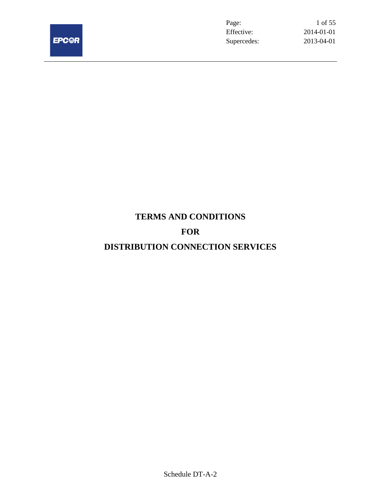

Page: 1 of 55 Effective: 2014-01-01 Supercedes: 2013-04-01

# **TERMS AND CONDITIONS FOR**

# **DISTRIBUTION CONNECTION SERVICES**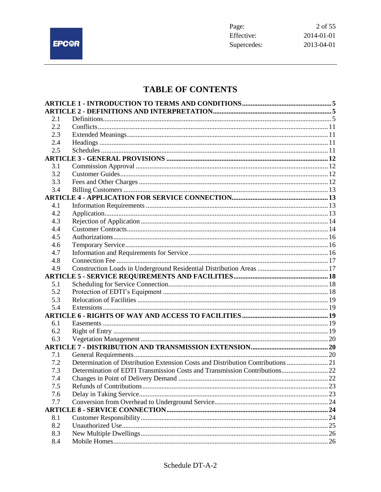

# **TABLE OF CONTENTS**

| 2.1 |                                                                                 |  |
|-----|---------------------------------------------------------------------------------|--|
| 2.2 |                                                                                 |  |
| 2.3 |                                                                                 |  |
| 2.4 |                                                                                 |  |
| 2.5 |                                                                                 |  |
|     |                                                                                 |  |
| 3.1 |                                                                                 |  |
| 3.2 |                                                                                 |  |
| 3.3 |                                                                                 |  |
| 3.4 |                                                                                 |  |
|     |                                                                                 |  |
| 4.1 |                                                                                 |  |
| 4.2 |                                                                                 |  |
| 4.3 |                                                                                 |  |
| 4.4 |                                                                                 |  |
| 4.5 |                                                                                 |  |
| 4.6 |                                                                                 |  |
| 4.7 |                                                                                 |  |
| 4.8 |                                                                                 |  |
| 4.9 |                                                                                 |  |
|     |                                                                                 |  |
| 5.1 |                                                                                 |  |
| 5.2 |                                                                                 |  |
| 5.3 |                                                                                 |  |
| 5.4 |                                                                                 |  |
|     |                                                                                 |  |
| 6.1 |                                                                                 |  |
| 6.2 |                                                                                 |  |
| 6.3 |                                                                                 |  |
|     |                                                                                 |  |
| 7.1 |                                                                                 |  |
| 7.2 | Determination of Distribution Extension Costs and Distribution Contributions 21 |  |
| 7.3 | Determination of EDTI Transmission Costs and Transmission Contributions 22      |  |
| 7.4 | $\cdots$ 22<br>Changes in Point of Delivery Demand.                             |  |
| 7.5 |                                                                                 |  |
| 7.6 |                                                                                 |  |
| 7.7 |                                                                                 |  |
|     |                                                                                 |  |
| 8.1 |                                                                                 |  |
| 8.2 |                                                                                 |  |
| 8.3 |                                                                                 |  |
| 8.4 |                                                                                 |  |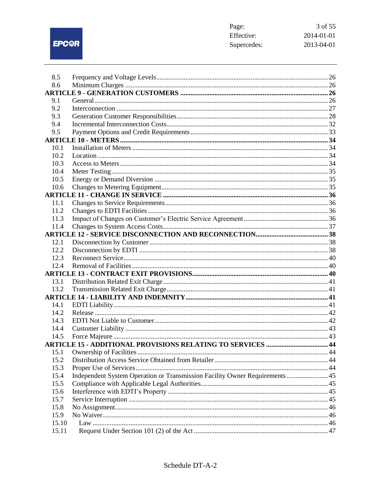EPC@R

| 8.5   |                                                                              |  |
|-------|------------------------------------------------------------------------------|--|
| 8.6   |                                                                              |  |
|       |                                                                              |  |
| 9.1   |                                                                              |  |
| 9.2   |                                                                              |  |
| 9.3   |                                                                              |  |
| 9.4   |                                                                              |  |
| 9.5   |                                                                              |  |
|       |                                                                              |  |
| 10.1  |                                                                              |  |
| 10.2  |                                                                              |  |
| 10.3  |                                                                              |  |
| 10.4  |                                                                              |  |
| 10.5  |                                                                              |  |
| 10.6  |                                                                              |  |
|       |                                                                              |  |
| 11.1  |                                                                              |  |
| 11.2  |                                                                              |  |
| 11.3  |                                                                              |  |
| 11.4  |                                                                              |  |
|       |                                                                              |  |
| 12.1  |                                                                              |  |
| 12.2  |                                                                              |  |
| 12.3  |                                                                              |  |
| 12.4  |                                                                              |  |
|       |                                                                              |  |
| 13.1  |                                                                              |  |
| 13.2  |                                                                              |  |
|       |                                                                              |  |
| 14.1  |                                                                              |  |
| 14.2  |                                                                              |  |
| 14.3  |                                                                              |  |
| 14.4  |                                                                              |  |
| 14.5  |                                                                              |  |
|       | <b>ARTICLE 15 - ADDITIONAL PROVISIONS RELATING TO SERVICES  44</b>           |  |
| 15.1  |                                                                              |  |
| 15.2  |                                                                              |  |
| 15.3  |                                                                              |  |
| 15.4  | Independent System Operation or Transmission Facility Owner Requirements  45 |  |
| 15.5  |                                                                              |  |
| 15.6  |                                                                              |  |
| 15.7  |                                                                              |  |
| 15.8  |                                                                              |  |
| 15.9  |                                                                              |  |
| 15.10 |                                                                              |  |
| 15.11 |                                                                              |  |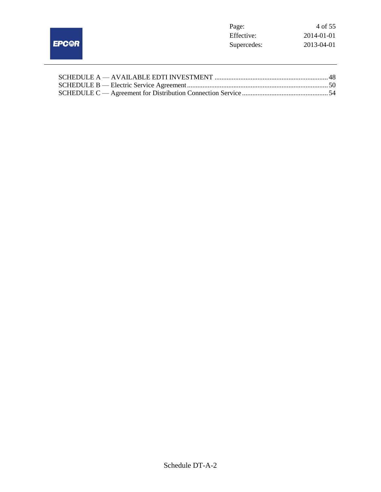|              | Page:       | 4 of 55    |
|--------------|-------------|------------|
|              | Effective:  | 2014-01-01 |
| <b>EPC@R</b> | Supercedes: | 2013-04-01 |
|              |             |            |
|              |             |            |
|              |             |            |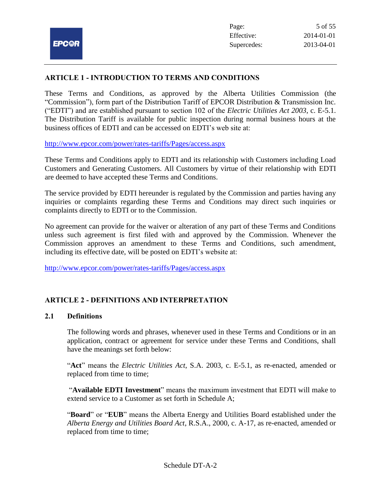## **ARTICLE 1 - INTRODUCTION TO TERMS AND CONDITIONS**

These Terms and Conditions, as approved by the Alberta Utilities Commission (the "Commission"), form part of the Distribution Tariff of EPCOR Distribution & Transmission Inc. ("EDTI") and are established pursuant to section 102 of the *Electric Utilities Act 2003*, c. E-5.1. The Distribution Tariff is available for public inspection during normal business hours at the business offices of EDTI and can be accessed on EDTI's web site at:

<http://www.epcor.com/power/rates-tariffs/Pages/access.aspx>

These Terms and Conditions apply to EDTI and its relationship with Customers including Load Customers and Generating Customers. All Customers by virtue of their relationship with EDTI are deemed to have accepted these Terms and Conditions.

The service provided by EDTI hereunder is regulated by the Commission and parties having any inquiries or complaints regarding these Terms and Conditions may direct such inquiries or complaints directly to EDTI or to the Commission.

No agreement can provide for the waiver or alteration of any part of these Terms and Conditions unless such agreement is first filed with and approved by the Commission. Whenever the Commission approves an amendment to these Terms and Conditions, such amendment, including its effective date, will be posted on EDTI's website at:

<http://www.epcor.com/power/rates-tariffs/Pages/access.aspx>

# **ARTICLE 2 - DEFINITIONS AND INTERPRETATION**

#### **2.1 Definitions**

The following words and phrases, whenever used in these Terms and Conditions or in an application, contract or agreement for service under these Terms and Conditions, shall have the meanings set forth below:

"**Act**" means the *Electric Utilities Act*, S.A. 2003, c. E-5.1, as re-enacted, amended or replaced from time to time;

"**Available EDTI Investment**" means the maximum investment that EDTI will make to extend service to a Customer as set forth in Schedule A;

"**Board**" or "**EUB**" means the Alberta Energy and Utilities Board established under the *Alberta Energy and Utilities Board Act*, R.S.A., 2000, c. A-17, as re-enacted, amended or replaced from time to time;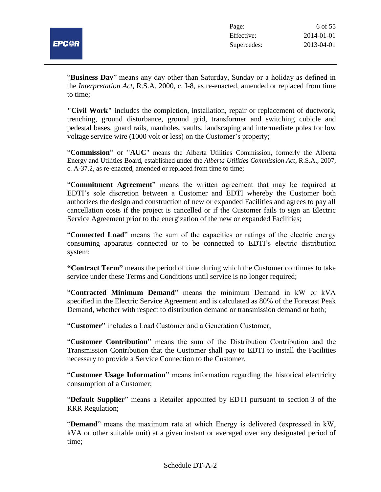

"**Business Day**" means any day other than Saturday, Sunday or a holiday as defined in the *Interpretation Act*, R.S.A. 2000, c. I-8, as re-enacted, amended or replaced from time to time;

**"Civil Work"** includes the completion, installation, repair or replacement of ductwork, trenching, ground disturbance, ground grid, transformer and switching cubicle and pedestal bases, guard rails, manholes, vaults, landscaping and intermediate poles for low voltage service wire (1000 volt or less) on the Customer's property;

"**Commission**" or "**AUC**" means the Alberta Utilities Commission, formerly the Alberta Energy and Utilities Board, established under the *Alberta Utilities Commission Act*, R.S.A., 2007, c. A-37.2, as re-enacted, amended or replaced from time to time;

"**Commitment Agreement**" means the written agreement that may be required at EDTI's sole discretion between a Customer and EDTI whereby the Customer both authorizes the design and construction of new or expanded Facilities and agrees to pay all cancellation costs if the project is cancelled or if the Customer fails to sign an Electric Service Agreement prior to the energization of the new or expanded Facilities;

"**Connected Load**" means the sum of the capacities or ratings of the electric energy consuming apparatus connected or to be connected to EDTI's electric distribution system;

**"Contract Term"** means the period of time during which the Customer continues to take service under these Terms and Conditions until service is no longer required;

"**Contracted Minimum Demand**" means the minimum Demand in kW or kVA specified in the Electric Service Agreement and is calculated as 80% of the Forecast Peak Demand, whether with respect to distribution demand or transmission demand or both;

"**Customer**" includes a Load Customer and a Generation Customer;

"**Customer Contribution**" means the sum of the Distribution Contribution and the Transmission Contribution that the Customer shall pay to EDTI to install the Facilities necessary to provide a Service Connection to the Customer.

"**Customer Usage Information**" means information regarding the historical electricity consumption of a Customer;

"**Default Supplier**" means a Retailer appointed by EDTI pursuant to section 3 of the RRR Regulation;

"**Demand**" means the maximum rate at which Energy is delivered (expressed in kW, kVA or other suitable unit) at a given instant or averaged over any designated period of time;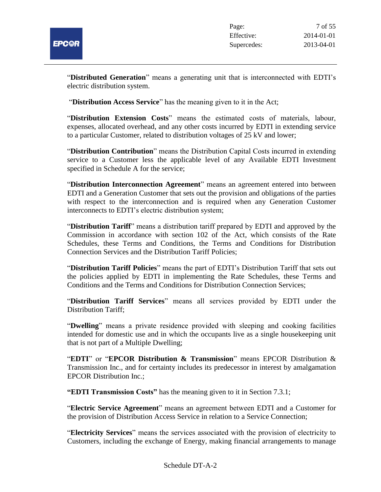

"**Distributed Generation**" means a generating unit that is interconnected with EDTI's electric distribution system.

"**Distribution Access Service**" has the meaning given to it in the Act;

"**Distribution Extension Costs**" means the estimated costs of materials, labour, expenses, allocated overhead, and any other costs incurred by EDTI in extending service to a particular Customer, related to distribution voltages of 25 kV and lower;

"**Distribution Contribution**" means the Distribution Capital Costs incurred in extending service to a Customer less the applicable level of any Available EDTI Investment specified in Schedule A for the service;

"**Distribution Interconnection Agreement**" means an agreement entered into between EDTI and a Generation Customer that sets out the provision and obligations of the parties with respect to the interconnection and is required when any Generation Customer interconnects to EDTI's electric distribution system;

"**Distribution Tariff**" means a distribution tariff prepared by EDTI and approved by the Commission in accordance with section 102 of the Act, which consists of the Rate Schedules, these Terms and Conditions, the Terms and Conditions for Distribution Connection Services and the Distribution Tariff Policies;

"**Distribution Tariff Policies**" means the part of EDTI's Distribution Tariff that sets out the policies applied by EDTI in implementing the Rate Schedules, these Terms and Conditions and the Terms and Conditions for Distribution Connection Services;

"**Distribution Tariff Services**" means all services provided by EDTI under the Distribution Tariff;

"**Dwelling**" means a private residence provided with sleeping and cooking facilities intended for domestic use and in which the occupants live as a single housekeeping unit that is not part of a Multiple Dwelling;

"**EDTI**" or "**EPCOR Distribution & Transmission**" means EPCOR Distribution & Transmission Inc., and for certainty includes its predecessor in interest by amalgamation EPCOR Distribution Inc.;

**"EDTI Transmission Costs"** has the meaning given to it in Section 7.3.1;

"**Electric Service Agreement**" means an agreement between EDTI and a Customer for the provision of Distribution Access Service in relation to a Service Connection;

"**Electricity Services**" means the services associated with the provision of electricity to Customers, including the exchange of Energy, making financial arrangements to manage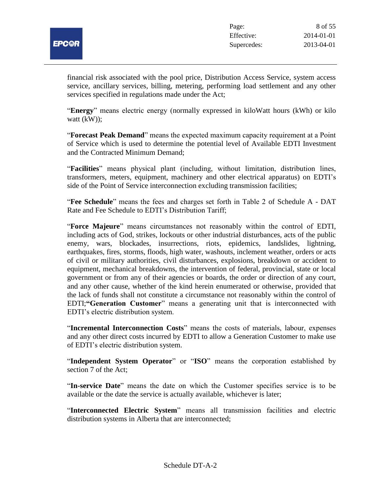

financial risk associated with the pool price, Distribution Access Service, system access service, ancillary services, billing, metering, performing load settlement and any other services specified in regulations made under the Act;

"**Energy**" means electric energy (normally expressed in kiloWatt hours (kWh) or kilo watt (kW));

"**Forecast Peak Demand**" means the expected maximum capacity requirement at a Point of Service which is used to determine the potential level of Available EDTI Investment and the Contracted Minimum Demand;

"**Facilities**" means physical plant (including, without limitation, distribution lines, transformers, meters, equipment, machinery and other electrical apparatus) on EDTI's side of the Point of Service interconnection excluding transmission facilities;

"**Fee Schedule**" means the fees and charges set forth in Table 2 of Schedule A - DAT Rate and Fee Schedule to EDTI's Distribution Tariff;

"**Force Majeure**" means circumstances not reasonably within the control of EDTI, including acts of God, strikes, lockouts or other industrial disturbances, acts of the public enemy, wars, blockades, insurrections, riots, epidemics, landslides, lightning, earthquakes, fires, storms, floods, high water, washouts, inclement weather, orders or acts of civil or military authorities, civil disturbances, explosions, breakdown or accident to equipment, mechanical breakdowns, the intervention of federal, provincial, state or local government or from any of their agencies or boards, the order or direction of any court, and any other cause, whether of the kind herein enumerated or otherwise, provided that the lack of funds shall not constitute a circumstance not reasonably within the control of EDTI;**"Generation Customer**" means a generating unit that is interconnected with EDTI's electric distribution system.

"**Incremental Interconnection Costs**" means the costs of materials, labour, expenses and any other direct costs incurred by EDTI to allow a Generation Customer to make use of EDTI's electric distribution system.

"**Independent System Operator**" or "**ISO**" means the corporation established by section 7 of the Act;

"**In-service Date**" means the date on which the Customer specifies service is to be available or the date the service is actually available, whichever is later;

"**Interconnected Electric System**" means all transmission facilities and electric distribution systems in Alberta that are interconnected;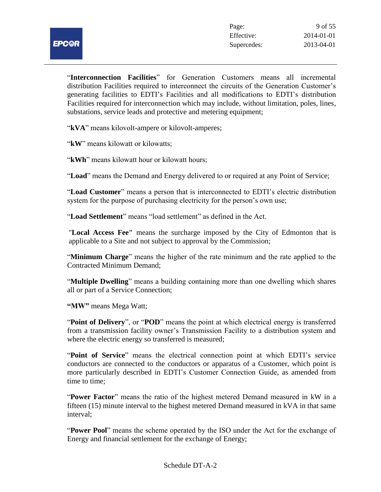"**Interconnection Facilities**" for Generation Customers means all incremental distribution Facilities required to interconnect the circuits of the Generation Customer's generating facilities to EDTI's Facilities and all modifications to EDTI's distribution Facilities required for interconnection which may include, without limitation, poles, lines, substations, service leads and protective and metering equipment;

"**kVA**" means kilovolt-ampere or kilovolt-amperes;

"**kW**" means kilowatt or kilowatts;

"**kWh**" means kilowatt hour or kilowatt hours;

"**Load**" means the Demand and Energy delivered to or required at any Point of Service;

"**Load Customer**" means a person that is interconnected to EDTI's electric distribution system for the purpose of purchasing electricity for the person's own use;

"**Load Settlement**" means "load settlement" as defined in the Act.

"**Local Access Fee"** means the surcharge imposed by the City of Edmonton that is applicable to a Site and not subject to approval by the Commission;

"**Minimum Charge**" means the higher of the rate minimum and the rate applied to the Contracted Minimum Demand;

"**Multiple Dwelling**" means a building containing more than one dwelling which shares all or part of a Service Connection;

**"MW"** means Mega Watt;

"**Point of Delivery**", or "**POD**" means the point at which electrical energy is transferred from a transmission facility owner's Transmission Facility to a distribution system and where the electric energy so transferred is measured;

"**Point of Service**" means the electrical connection point at which EDTI's service conductors are connected to the conductors or apparatus of a Customer, which point is more particularly described in EDTI's Customer Connection Guide, as amended from time to time;

"**Power Factor**" means the ratio of the highest metered Demand measured in kW in a fifteen (15) minute interval to the highest metered Demand measured in kVA in that same interval;

"**Power Pool**" means the scheme operated by the ISO under the Act for the exchange of Energy and financial settlement for the exchange of Energy;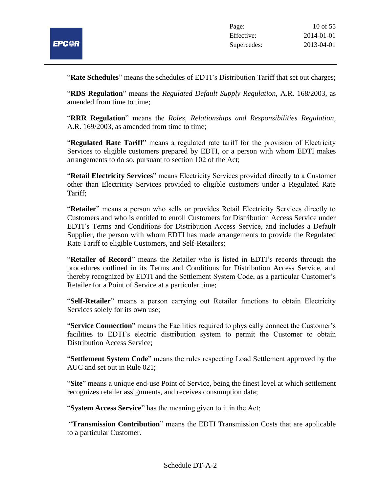

"**Rate Schedules**" means the schedules of EDTI's Distribution Tariff that set out charges;

"**RDS Regulation**" means the *Regulated Default Supply Regulation*, A.R. 168/2003, as amended from time to time;

"**RRR Regulation**" means the *Roles, Relationships and Responsibilities Regulation*, A.R. 169/2003, as amended from time to time;

"**Regulated Rate Tariff**" means a regulated rate tariff for the provision of Electricity Services to eligible customers prepared by EDTI, or a person with whom EDTI makes arrangements to do so, pursuant to section 102 of the Act;

"**Retail Electricity Services**" means Electricity Services provided directly to a Customer other than Electricity Services provided to eligible customers under a Regulated Rate Tariff;

"**Retailer**" means a person who sells or provides Retail Electricity Services directly to Customers and who is entitled to enroll Customers for Distribution Access Service under EDTI's Terms and Conditions for Distribution Access Service, and includes a Default Supplier, the person with whom EDTI has made arrangements to provide the Regulated Rate Tariff to eligible Customers, and Self-Retailers;

"**Retailer of Record**" means the Retailer who is listed in EDTI's records through the procedures outlined in its Terms and Conditions for Distribution Access Service, and thereby recognized by EDTI and the Settlement System Code, as a particular Customer's Retailer for a Point of Service at a particular time;

"**Self-Retailer**" means a person carrying out Retailer functions to obtain Electricity Services solely for its own use;

"**Service Connection**" means the Facilities required to physically connect the Customer's facilities to EDTI's electric distribution system to permit the Customer to obtain Distribution Access Service;

"**Settlement System Code**" means the rules respecting Load Settlement approved by the AUC and set out in Rule 021;

"**Site**" means a unique end-use Point of Service, being the finest level at which settlement recognizes retailer assignments, and receives consumption data;

"**System Access Service**" has the meaning given to it in the Act;

"**Transmission Contribution**" means the EDTI Transmission Costs that are applicable to a particular Customer.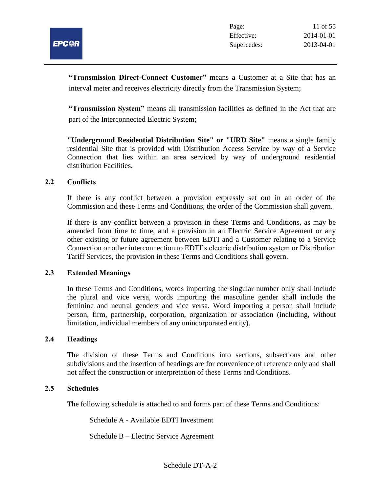

**"Transmission Direct-Connect Customer"** means a Customer at a Site that has an interval meter and receives electricity directly from the Transmission System;

**"Transmission System"** means all transmission facilities as defined in the Act that are part of the Interconnected Electric System;

**"Underground Residential Distribution Site" or "URD Site"** means a single family residential Site that is provided with Distribution Access Service by way of a Service Connection that lies within an area serviced by way of underground residential distribution Facilities.

## **2.2 Conflicts**

If there is any conflict between a provision expressly set out in an order of the Commission and these Terms and Conditions, the order of the Commission shall govern.

If there is any conflict between a provision in these Terms and Conditions, as may be amended from time to time, and a provision in an Electric Service Agreement or any other existing or future agreement between EDTI and a Customer relating to a Service Connection or other interconnection to EDTI's electric distribution system or Distribution Tariff Services, the provision in these Terms and Conditions shall govern.

#### **2.3 Extended Meanings**

In these Terms and Conditions, words importing the singular number only shall include the plural and vice versa, words importing the masculine gender shall include the feminine and neutral genders and vice versa. Word importing a person shall include person, firm, partnership, corporation, organization or association (including, without limitation, individual members of any unincorporated entity).

#### **2.4 Headings**

The division of these Terms and Conditions into sections, subsections and other subdivisions and the insertion of headings are for convenience of reference only and shall not affect the construction or interpretation of these Terms and Conditions.

#### **2.5 Schedules**

The following schedule is attached to and forms part of these Terms and Conditions:

Schedule A - Available EDTI Investment

Schedule B – Electric Service Agreement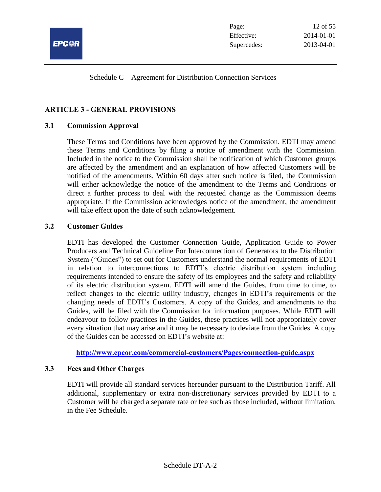

Schedule C – Agreement for Distribution Connection Services

# **ARTICLE 3 - GENERAL PROVISIONS**

## **3.1 Commission Approval**

These Terms and Conditions have been approved by the Commission. EDTI may amend these Terms and Conditions by filing a notice of amendment with the Commission. Included in the notice to the Commission shall be notification of which Customer groups are affected by the amendment and an explanation of how affected Customers will be notified of the amendments. Within 60 days after such notice is filed, the Commission will either acknowledge the notice of the amendment to the Terms and Conditions or direct a further process to deal with the requested change as the Commission deems appropriate. If the Commission acknowledges notice of the amendment, the amendment will take effect upon the date of such acknowledgement.

## **3.2 Customer Guides**

EDTI has developed the Customer Connection Guide, Application Guide to Power Producers and Technical Guideline For Interconnection of Generators to the Distribution System ("Guides") to set out for Customers understand the normal requirements of EDTI in relation to interconnections to EDTI's electric distribution system including requirements intended to ensure the safety of its employees and the safety and reliability of its electric distribution system. EDTI will amend the Guides, from time to time, to reflect changes to the electric utility industry, changes in EDTI's requirements or the changing needs of EDTI's Customers. A copy of the Guides, and amendments to the Guides, will be filed with the Commission for information purposes. While EDTI will endeavour to follow practices in the Guides, these practices will not appropriately cover every situation that may arise and it may be necessary to deviate from the Guides. A copy of the Guides can be accessed on EDTI's website at:

**<http://www.epcor.com/commercial-customers/Pages/connection-guide.aspx>**

#### **3.3 Fees and Other Charges**

EDTI will provide all standard services hereunder pursuant to the Distribution Tariff. All additional, supplementary or extra non-discretionary services provided by EDTI to a Customer will be charged a separate rate or fee such as those included, without limitation, in the Fee Schedule.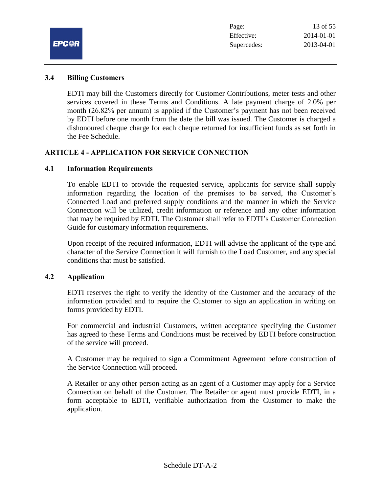

#### **3.4 Billing Customers**

EDTI may bill the Customers directly for Customer Contributions, meter tests and other services covered in these Terms and Conditions. A late payment charge of 2.0% per month (26.82% per annum) is applied if the Customer's payment has not been received by EDTI before one month from the date the bill was issued. The Customer is charged a dishonoured cheque charge for each cheque returned for insufficient funds as set forth in the Fee Schedule.

## **ARTICLE 4 - APPLICATION FOR SERVICE CONNECTION**

#### **4.1 Information Requirements**

To enable EDTI to provide the requested service, applicants for service shall supply information regarding the location of the premises to be served, the Customer's Connected Load and preferred supply conditions and the manner in which the Service Connection will be utilized, credit information or reference and any other information that may be required by EDTI. The Customer shall refer to EDTI's Customer Connection Guide for customary information requirements.

Upon receipt of the required information, EDTI will advise the applicant of the type and character of the Service Connection it will furnish to the Load Customer, and any special conditions that must be satisfied.

## **4.2 Application**

EDTI reserves the right to verify the identity of the Customer and the accuracy of the information provided and to require the Customer to sign an application in writing on forms provided by EDTI.

For commercial and industrial Customers, written acceptance specifying the Customer has agreed to these Terms and Conditions must be received by EDTI before construction of the service will proceed.

A Customer may be required to sign a Commitment Agreement before construction of the Service Connection will proceed.

A Retailer or any other person acting as an agent of a Customer may apply for a Service Connection on behalf of the Customer. The Retailer or agent must provide EDTI, in a form acceptable to EDTI, verifiable authorization from the Customer to make the application.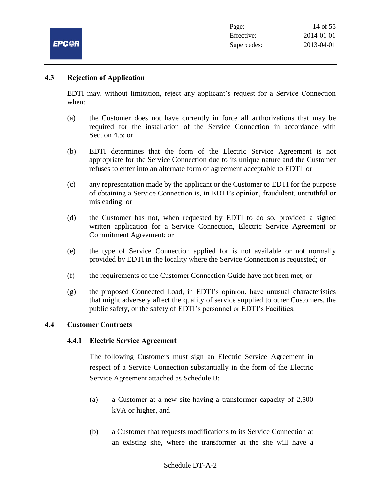

## **4.3 Rejection of Application**

EDTI may, without limitation, reject any applicant's request for a Service Connection when:

- (a) the Customer does not have currently in force all authorizations that may be required for the installation of the Service Connection in accordance with Section 4.5; or
- (b) EDTI determines that the form of the Electric Service Agreement is not appropriate for the Service Connection due to its unique nature and the Customer refuses to enter into an alternate form of agreement acceptable to EDTI; or
- (c) any representation made by the applicant or the Customer to EDTI for the purpose of obtaining a Service Connection is, in EDTI's opinion, fraudulent, untruthful or misleading; or
- (d) the Customer has not, when requested by EDTI to do so, provided a signed written application for a Service Connection, Electric Service Agreement or Commitment Agreement; or
- (e) the type of Service Connection applied for is not available or not normally provided by EDTI in the locality where the Service Connection is requested; or
- (f) the requirements of the Customer Connection Guide have not been met; or
- (g) the proposed Connected Load, in EDTI's opinion, have unusual characteristics that might adversely affect the quality of service supplied to other Customers, the public safety, or the safety of EDTI's personnel or EDTI's Facilities.

#### **4.4 Customer Contracts**

#### **4.4.1 Electric Service Agreement**

The following Customers must sign an Electric Service Agreement in respect of a Service Connection substantially in the form of the Electric Service Agreement attached as Schedule B:

- (a) a Customer at a new site having a transformer capacity of 2,500 kVA or higher, and
- (b) a Customer that requests modifications to its Service Connection at an existing site, where the transformer at the site will have a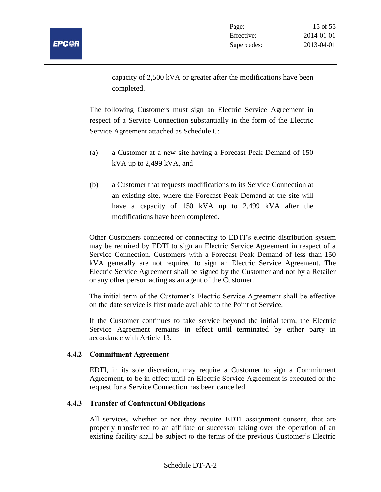

capacity of 2,500 kVA or greater after the modifications have been completed.

The following Customers must sign an Electric Service Agreement in respect of a Service Connection substantially in the form of the Electric Service Agreement attached as Schedule C:

- (a) a Customer at a new site having a Forecast Peak Demand of 150 kVA up to 2,499 kVA, and
- (b) a Customer that requests modifications to its Service Connection at an existing site, where the Forecast Peak Demand at the site will have a capacity of 150 kVA up to 2,499 kVA after the modifications have been completed.

Other Customers connected or connecting to EDTI's electric distribution system may be required by EDTI to sign an Electric Service Agreement in respect of a Service Connection. Customers with a Forecast Peak Demand of less than 150 kVA generally are not required to sign an Electric Service Agreement. The Electric Service Agreement shall be signed by the Customer and not by a Retailer or any other person acting as an agent of the Customer.

The initial term of the Customer's Electric Service Agreement shall be effective on the date service is first made available to the Point of Service.

If the Customer continues to take service beyond the initial term, the Electric Service Agreement remains in effect until terminated by either party in accordance with Article 13.

# **4.4.2 Commitment Agreement**

EDTI, in its sole discretion, may require a Customer to sign a Commitment Agreement, to be in effect until an Electric Service Agreement is executed or the request for a Service Connection has been cancelled.

# **4.4.3 Transfer of Contractual Obligations**

All services, whether or not they require EDTI assignment consent, that are properly transferred to an affiliate or successor taking over the operation of an existing facility shall be subject to the terms of the previous Customer's Electric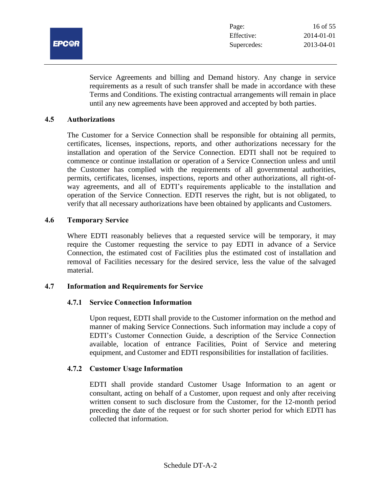

Service Agreements and billing and Demand history. Any change in service requirements as a result of such transfer shall be made in accordance with these Terms and Conditions. The existing contractual arrangements will remain in place until any new agreements have been approved and accepted by both parties.

#### **4.5 Authorizations**

The Customer for a Service Connection shall be responsible for obtaining all permits, certificates, licenses, inspections, reports, and other authorizations necessary for the installation and operation of the Service Connection. EDTI shall not be required to commence or continue installation or operation of a Service Connection unless and until the Customer has complied with the requirements of all governmental authorities, permits, certificates, licenses, inspections, reports and other authorizations, all right-ofway agreements, and all of EDTI's requirements applicable to the installation and operation of the Service Connection. EDTI reserves the right, but is not obligated, to verify that all necessary authorizations have been obtained by applicants and Customers.

#### **4.6 Temporary Service**

Where EDTI reasonably believes that a requested service will be temporary, it may require the Customer requesting the service to pay EDTI in advance of a Service Connection, the estimated cost of Facilities plus the estimated cost of installation and removal of Facilities necessary for the desired service, less the value of the salvaged material.

#### **4.7 Information and Requirements for Service**

#### **4.7.1 Service Connection Information**

Upon request, EDTI shall provide to the Customer information on the method and manner of making Service Connections. Such information may include a copy of EDTI's Customer Connection Guide, a description of the Service Connection available, location of entrance Facilities, Point of Service and metering equipment, and Customer and EDTI responsibilities for installation of facilities.

#### **4.7.2 Customer Usage Information**

EDTI shall provide standard Customer Usage Information to an agent or consultant, acting on behalf of a Customer, upon request and only after receiving written consent to such disclosure from the Customer, for the 12-month period preceding the date of the request or for such shorter period for which EDTI has collected that information.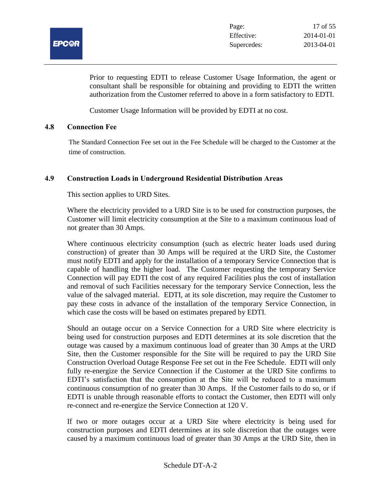

Prior to requesting EDTI to release Customer Usage Information, the agent or consultant shall be responsible for obtaining and providing to EDTI the written authorization from the Customer referred to above in a form satisfactory to EDTI.

Customer Usage Information will be provided by EDTI at no cost.

## **4.8 Connection Fee**

The Standard Connection Fee set out in the Fee Schedule will be charged to the Customer at the time of construction.

# **4.9 Construction Loads in Underground Residential Distribution Areas**

This section applies to URD Sites.

Where the electricity provided to a URD Site is to be used for construction purposes, the Customer will limit electricity consumption at the Site to a maximum continuous load of not greater than 30 Amps.

Where continuous electricity consumption (such as electric heater loads used during construction) of greater than 30 Amps will be required at the URD Site, the Customer must notify EDTI and apply for the installation of a temporary Service Connection that is capable of handling the higher load. The Customer requesting the temporary Service Connection will pay EDTI the cost of any required Facilities plus the cost of installation and removal of such Facilities necessary for the temporary Service Connection, less the value of the salvaged material. EDTI, at its sole discretion, may require the Customer to pay these costs in advance of the installation of the temporary Service Connection, in which case the costs will be based on estimates prepared by EDTI.

Should an outage occur on a Service Connection for a URD Site where electricity is being used for construction purposes and EDTI determines at its sole discretion that the outage was caused by a maximum continuous load of greater than 30 Amps at the URD Site, then the Customer responsible for the Site will be required to pay the URD Site Construction Overload Outage Response Fee set out in the Fee Schedule. EDTI will only fully re-energize the Service Connection if the Customer at the URD Site confirms to EDTI's satisfaction that the consumption at the Site will be reduced to a maximum continuous consumption of no greater than 30 Amps. If the Customer fails to do so, or if EDTI is unable through reasonable efforts to contact the Customer, then EDTI will only re-connect and re-energize the Service Connection at 120 V.

If two or more outages occur at a URD Site where electricity is being used for construction purposes and EDTI determines at its sole discretion that the outages were caused by a maximum continuous load of greater than 30 Amps at the URD Site, then in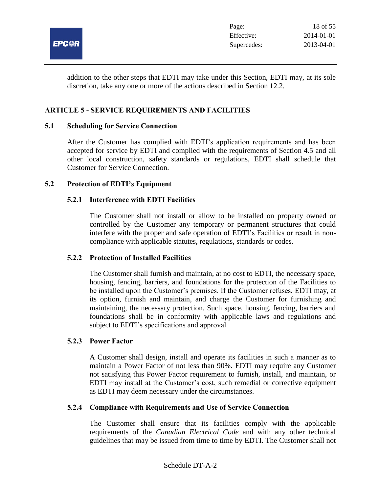

addition to the other steps that EDTI may take under this Section, EDTI may, at its sole discretion, take any one or more of the actions described in Section 12.2.

## **ARTICLE 5 - SERVICE REQUIREMENTS AND FACILITIES**

#### **5.1 Scheduling for Service Connection**

After the Customer has complied with EDTI's application requirements and has been accepted for service by EDTI and complied with the requirements of Section 4.5 and all other local construction, safety standards or regulations, EDTI shall schedule that Customer for Service Connection.

#### **5.2 Protection of EDTI's Equipment**

#### **5.2.1 Interference with EDTI Facilities**

The Customer shall not install or allow to be installed on property owned or controlled by the Customer any temporary or permanent structures that could interfere with the proper and safe operation of EDTI's Facilities or result in noncompliance with applicable statutes, regulations, standards or codes.

#### **5.2.2 Protection of Installed Facilities**

The Customer shall furnish and maintain, at no cost to EDTI, the necessary space, housing, fencing, barriers, and foundations for the protection of the Facilities to be installed upon the Customer's premises. If the Customer refuses, EDTI may, at its option, furnish and maintain, and charge the Customer for furnishing and maintaining, the necessary protection. Such space, housing, fencing, barriers and foundations shall be in conformity with applicable laws and regulations and subject to EDTI's specifications and approval.

#### **5.2.3 Power Factor**

A Customer shall design, install and operate its facilities in such a manner as to maintain a Power Factor of not less than 90%. EDTI may require any Customer not satisfying this Power Factor requirement to furnish, install, and maintain, or EDTI may install at the Customer's cost, such remedial or corrective equipment as EDTI may deem necessary under the circumstances.

#### **5.2.4 Compliance with Requirements and Use of Service Connection**

The Customer shall ensure that its facilities comply with the applicable requirements of the *Canadian Electrical Code* and with any other technical guidelines that may be issued from time to time by EDTI. The Customer shall not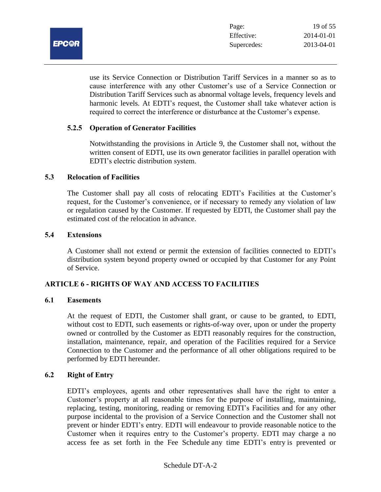

use its Service Connection or Distribution Tariff Services in a manner so as to cause interference with any other Customer's use of a Service Connection or Distribution Tariff Services such as abnormal voltage levels, frequency levels and harmonic levels. At EDTI's request, the Customer shall take whatever action is required to correct the interference or disturbance at the Customer's expense.

## **5.2.5 Operation of Generator Facilities**

Notwithstanding the provisions in Article 9, the Customer shall not, without the written consent of EDTI, use its own generator facilities in parallel operation with EDTI's electric distribution system.

#### **5.3 Relocation of Facilities**

The Customer shall pay all costs of relocating EDTI's Facilities at the Customer's request, for the Customer's convenience, or if necessary to remedy any violation of law or regulation caused by the Customer. If requested by EDTI, the Customer shall pay the estimated cost of the relocation in advance.

#### **5.4 Extensions**

A Customer shall not extend or permit the extension of facilities connected to EDTI's distribution system beyond property owned or occupied by that Customer for any Point of Service.

#### **ARTICLE 6 - RIGHTS OF WAY AND ACCESS TO FACILITIES**

#### **6.1 Easements**

At the request of EDTI, the Customer shall grant, or cause to be granted, to EDTI, without cost to EDTI, such easements or rights-of-way over, upon or under the property owned or controlled by the Customer as EDTI reasonably requires for the construction, installation, maintenance, repair, and operation of the Facilities required for a Service Connection to the Customer and the performance of all other obligations required to be performed by EDTI hereunder.

#### **6.2 Right of Entry**

EDTI's employees, agents and other representatives shall have the right to enter a Customer's property at all reasonable times for the purpose of installing, maintaining, replacing, testing, monitoring, reading or removing EDTI's Facilities and for any other purpose incidental to the provision of a Service Connection and the Customer shall not prevent or hinder EDTI's entry. EDTI will endeavour to provide reasonable notice to the Customer when it requires entry to the Customer's property. EDTI may charge a no access fee as set forth in the Fee Schedule any time EDTI's entry is prevented or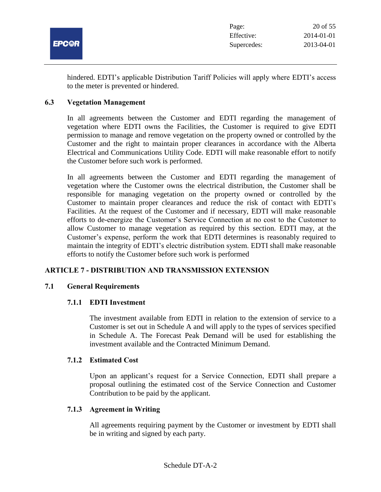

hindered. EDTI's applicable Distribution Tariff Policies will apply where EDTI's access to the meter is prevented or hindered.

## **6.3 Vegetation Management**

In all agreements between the Customer and EDTI regarding the management of vegetation where EDTI owns the Facilities, the Customer is required to give EDTI permission to manage and remove vegetation on the property owned or controlled by the Customer and the right to maintain proper clearances in accordance with the Alberta Electrical and Communications Utility Code. EDTI will make reasonable effort to notify the Customer before such work is performed.

In all agreements between the Customer and EDTI regarding the management of vegetation where the Customer owns the electrical distribution, the Customer shall be responsible for managing vegetation on the property owned or controlled by the Customer to maintain proper clearances and reduce the risk of contact with EDTI's Facilities. At the request of the Customer and if necessary, EDTI will make reasonable efforts to de-energize the Customer's Service Connection at no cost to the Customer to allow Customer to manage vegetation as required by this section. EDTI may, at the Customer's expense, perform the work that EDTI determines is reasonably required to maintain the integrity of EDTI's electric distribution system. EDTI shall make reasonable efforts to notify the Customer before such work is performed

# **ARTICLE 7 - DISTRIBUTION AND TRANSMISSION EXTENSION**

# **7.1 General Requirements**

# **7.1.1 EDTI Investment**

The investment available from EDTI in relation to the extension of service to a Customer is set out in Schedule A and will apply to the types of services specified in Schedule A. The Forecast Peak Demand will be used for establishing the investment available and the Contracted Minimum Demand.

#### **7.1.2 Estimated Cost**

Upon an applicant's request for a Service Connection, EDTI shall prepare a proposal outlining the estimated cost of the Service Connection and Customer Contribution to be paid by the applicant.

# **7.1.3 Agreement in Writing**

All agreements requiring payment by the Customer or investment by EDTI shall be in writing and signed by each party.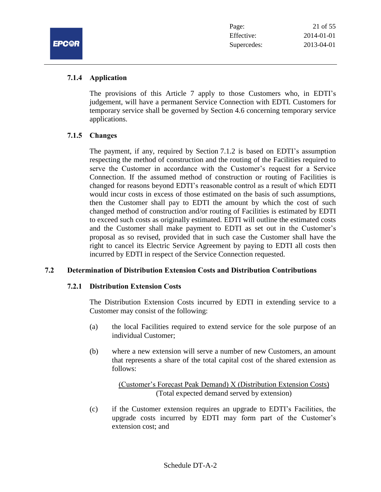

## **7.1.4 Application**

**EPC@F** 

The provisions of this Article 7 apply to those Customers who, in EDTI's judgement, will have a permanent Service Connection with EDTI. Customers for temporary service shall be governed by Section 4.6 concerning temporary service applications.

## **7.1.5 Changes**

The payment, if any, required by Section 7.1.2 is based on EDTI's assumption respecting the method of construction and the routing of the Facilities required to serve the Customer in accordance with the Customer's request for a Service Connection. If the assumed method of construction or routing of Facilities is changed for reasons beyond EDTI's reasonable control as a result of which EDTI would incur costs in excess of those estimated on the basis of such assumptions, then the Customer shall pay to EDTI the amount by which the cost of such changed method of construction and/or routing of Facilities is estimated by EDTI to exceed such costs as originally estimated. EDTI will outline the estimated costs and the Customer shall make payment to EDTI as set out in the Customer's proposal as so revised, provided that in such case the Customer shall have the right to cancel its Electric Service Agreement by paying to EDTI all costs then incurred by EDTI in respect of the Service Connection requested.

# **7.2 Determination of Distribution Extension Costs and Distribution Contributions**

#### **7.2.1 Distribution Extension Costs**

The Distribution Extension Costs incurred by EDTI in extending service to a Customer may consist of the following:

- (a) the local Facilities required to extend service for the sole purpose of an individual Customer;
- (b) where a new extension will serve a number of new Customers, an amount that represents a share of the total capital cost of the shared extension as follows:

(Customer's Forecast Peak Demand) X (Distribution Extension Costs) (Total expected demand served by extension)

(c) if the Customer extension requires an upgrade to EDTI's Facilities, the upgrade costs incurred by EDTI may form part of the Customer's extension cost; and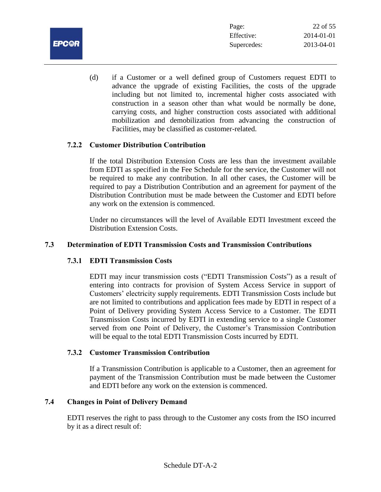

(d) if a Customer or a well defined group of Customers request EDTI to advance the upgrade of existing Facilities, the costs of the upgrade including but not limited to, incremental higher costs associated with construction in a season other than what would be normally be done, carrying costs, and higher construction costs associated with additional mobilization and demobilization from advancing the construction of Facilities, may be classified as customer-related.

## **7.2.2 Customer Distribution Contribution**

If the total Distribution Extension Costs are less than the investment available from EDTI as specified in the Fee Schedule for the service, the Customer will not be required to make any contribution. In all other cases, the Customer will be required to pay a Distribution Contribution and an agreement for payment of the Distribution Contribution must be made between the Customer and EDTI before any work on the extension is commenced.

Under no circumstances will the level of Available EDTI Investment exceed the Distribution Extension Costs.

## **7.3 Determination of EDTI Transmission Costs and Transmission Contributions**

# **7.3.1 EDTI Transmission Costs**

EDTI may incur transmission costs ("EDTI Transmission Costs") as a result of entering into contracts for provision of System Access Service in support of Customers' electricity supply requirements. EDTI Transmission Costs include but are not limited to contributions and application fees made by EDTI in respect of a Point of Delivery providing System Access Service to a Customer. The EDTI Transmission Costs incurred by EDTI in extending service to a single Customer served from one Point of Delivery, the Customer's Transmission Contribution will be equal to the total EDTI Transmission Costs incurred by EDTI.

#### **7.3.2 Customer Transmission Contribution**

If a Transmission Contribution is applicable to a Customer, then an agreement for payment of the Transmission Contribution must be made between the Customer and EDTI before any work on the extension is commenced.

# **7.4 Changes in Point of Delivery Demand**

EDTI reserves the right to pass through to the Customer any costs from the ISO incurred by it as a direct result of: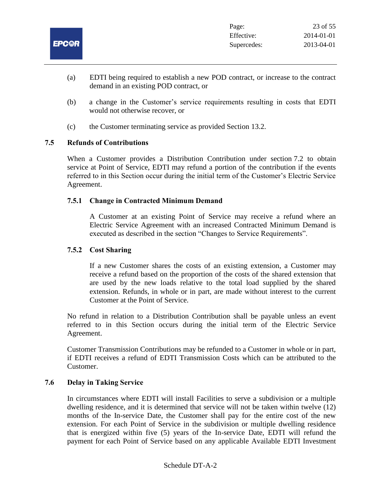

- (a) EDTI being required to establish a new POD contract, or increase to the contract demand in an existing POD contract, or
- (b) a change in the Customer's service requirements resulting in costs that EDTI would not otherwise recover, or
- (c) the Customer terminating service as provided Section 13.2.

# **7.5 Refunds of Contributions**

When a Customer provides a Distribution Contribution under section 7.2 to obtain service at Point of Service, EDTI may refund a portion of the contribution if the events referred to in this Section occur during the initial term of the Customer's Electric Service Agreement.

## **7.5.1 Change in Contracted Minimum Demand**

A Customer at an existing Point of Service may receive a refund where an Electric Service Agreement with an increased Contracted Minimum Demand is executed as described in the section "Changes to Service Requirements".

## **7.5.2 Cost Sharing**

If a new Customer shares the costs of an existing extension, a Customer may receive a refund based on the proportion of the costs of the shared extension that are used by the new loads relative to the total load supplied by the shared extension. Refunds, in whole or in part, are made without interest to the current Customer at the Point of Service.

No refund in relation to a Distribution Contribution shall be payable unless an event referred to in this Section occurs during the initial term of the Electric Service Agreement.

Customer Transmission Contributions may be refunded to a Customer in whole or in part, if EDTI receives a refund of EDTI Transmission Costs which can be attributed to the Customer.

#### **7.6 Delay in Taking Service**

In circumstances where EDTI will install Facilities to serve a subdivision or a multiple dwelling residence, and it is determined that service will not be taken within twelve (12) months of the In-service Date, the Customer shall pay for the entire cost of the new extension. For each Point of Service in the subdivision or multiple dwelling residence that is energized within five (5) years of the In-service Date, EDTI will refund the payment for each Point of Service based on any applicable Available EDTI Investment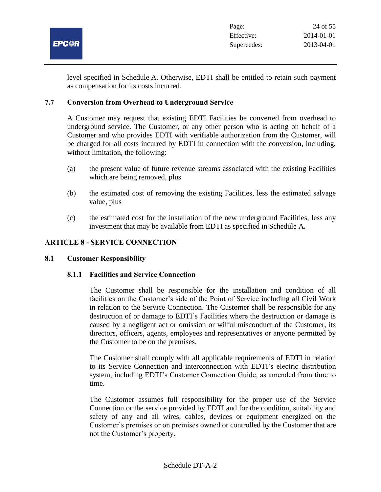

level specified in Schedule A. Otherwise, EDTI shall be entitled to retain such payment as compensation for its costs incurred.

## **7.7 Conversion from Overhead to Underground Service**

A Customer may request that existing EDTI Facilities be converted from overhead to underground service. The Customer, or any other person who is acting on behalf of a Customer and who provides EDTI with verifiable authorization from the Customer, will be charged for all costs incurred by EDTI in connection with the conversion, including, without limitation, the following:

- (a) the present value of future revenue streams associated with the existing Facilities which are being removed, plus
- (b) the estimated cost of removing the existing Facilities, less the estimated salvage value, plus
- (c) the estimated cost for the installation of the new underground Facilities, less any investment that may be available from EDTI as specified in Schedule A**.**

## **ARTICLE 8 - SERVICE CONNECTION**

#### **8.1 Customer Responsibility**

#### **8.1.1 Facilities and Service Connection**

The Customer shall be responsible for the installation and condition of all facilities on the Customer's side of the Point of Service including all Civil Work in relation to the Service Connection. The Customer shall be responsible for any destruction of or damage to EDTI's Facilities where the destruction or damage is caused by a negligent act or omission or wilful misconduct of the Customer, its directors, officers, agents, employees and representatives or anyone permitted by the Customer to be on the premises.

The Customer shall comply with all applicable requirements of EDTI in relation to its Service Connection and interconnection with EDTI's electric distribution system, including EDTI's Customer Connection Guide, as amended from time to time.

The Customer assumes full responsibility for the proper use of the Service Connection or the service provided by EDTI and for the condition, suitability and safety of any and all wires, cables, devices or equipment energized on the Customer's premises or on premises owned or controlled by the Customer that are not the Customer's property.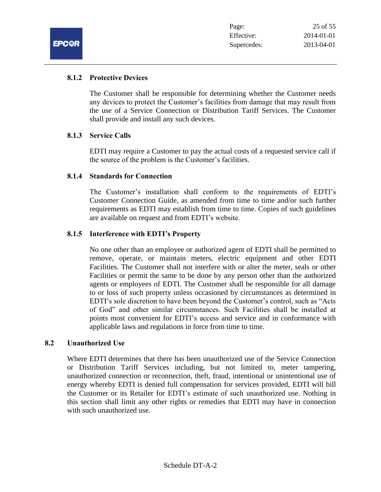## **8.1.2 Protective Devices**

The Customer shall be responsible for determining whether the Customer needs any devices to protect the Customer's facilities from damage that may result from the use of a Service Connection or Distribution Tariff Services. The Customer shall provide and install any such devices.

#### **8.1.3 Service Calls**

EDTI may require a Customer to pay the actual costs of a requested service call if the source of the problem is the Customer's facilities.

#### **8.1.4 Standards for Connection**

The Customer's installation shall conform to the requirements of EDTI's Customer Connection Guide, as amended from time to time and/or such further requirements as EDTI may establish from time to time. Copies of such guidelines are available on request and from EDTI's website.

## **8.1.5 Interference with EDTI's Property**

No one other than an employee or authorized agent of EDTI shall be permitted to remove, operate, or maintain meters, electric equipment and other EDTI Facilities. The Customer shall not interfere with or alter the meter, seals or other Facilities or permit the same to be done by any person other than the authorized agents or employees of EDTI. The Customer shall be responsible for all damage to or loss of such property unless occasioned by circumstances as determined in EDTI's sole discretion to have been beyond the Customer's control, such as "Acts of God" and other similar circumstances. Such Facilities shall be installed at points most convenient for EDTI's access and service and in conformance with applicable laws and regulations in force from time to time.

#### **8.2 Unauthorized Use**

Where EDTI determines that there has been unauthorized use of the Service Connection or Distribution Tariff Services including, but not limited to, meter tampering, unauthorized connection or reconnection, theft, fraud, intentional or unintentional use of energy whereby EDTI is denied full compensation for services provided, EDTI will bill the Customer or its Retailer for EDTI's estimate of such unauthorized use. Nothing in this section shall limit any other rights or remedies that EDTI may have in connection with such unauthorized use.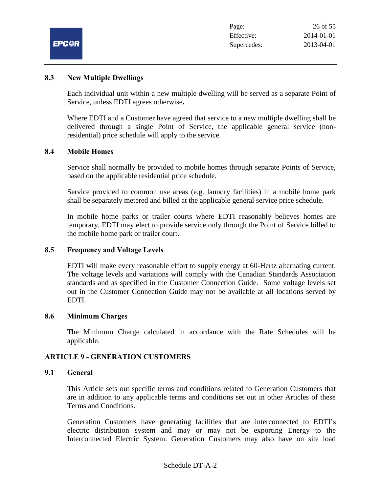|              | Page:       | 26 of 55   |
|--------------|-------------|------------|
|              | Effective:  | 2014-01-01 |
| <b>EPC©R</b> | Supercedes: | 2013-04-01 |

#### **8.3 New Multiple Dwellings**

Each individual unit within a new multiple dwelling will be served as a separate Point of Service, unless EDTI agrees otherwise**.**

Where EDTI and a Customer have agreed that service to a new multiple dwelling shall be delivered through a single Point of Service, the applicable general service (nonresidential) price schedule will apply to the service.

#### **8.4 Mobile Homes**

Service shall normally be provided to mobile homes through separate Points of Service, based on the applicable residential price schedule.

Service provided to common use areas (e.g. laundry facilities) in a mobile home park shall be separately metered and billed at the applicable general service price schedule.

In mobile home parks or trailer courts where EDTI reasonably believes homes are temporary, EDTI may elect to provide service only through the Point of Service billed to the mobile home park or trailer court.

#### **8.5 Frequency and Voltage Levels**

EDTI will make every reasonable effort to supply energy at 60-Hertz alternating current. The voltage levels and variations will comply with the Canadian Standards Association standards and as specified in the Customer Connection Guide. Some voltage levels set out in the Customer Connection Guide may not be available at all locations served by EDTI.

#### **8.6 Minimum Charges**

The Minimum Charge calculated in accordance with the Rate Schedules will be applicable.

#### **ARTICLE 9 - GENERATION CUSTOMERS**

#### **9.1 General**

This Article sets out specific terms and conditions related to Generation Customers that are in addition to any applicable terms and conditions set out in other Articles of these Terms and Conditions.

Generation Customers have generating facilities that are interconnected to EDTI's electric distribution system and may or may not be exporting Energy to the Interconnected Electric System. Generation Customers may also have on site load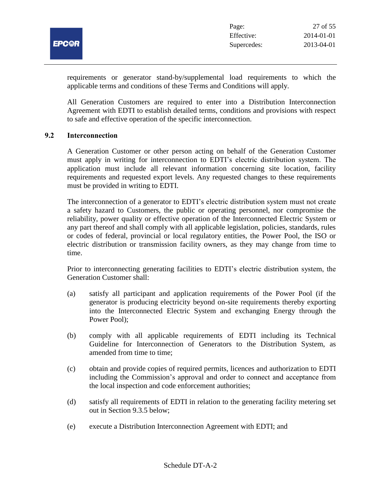

requirements or generator stand-by/supplemental load requirements to which the applicable terms and conditions of these Terms and Conditions will apply.

All Generation Customers are required to enter into a Distribution Interconnection Agreement with EDTI to establish detailed terms, conditions and provisions with respect to safe and effective operation of the specific interconnection.

#### **9.2 Interconnection**

A Generation Customer or other person acting on behalf of the Generation Customer must apply in writing for interconnection to EDTI's electric distribution system. The application must include all relevant information concerning site location, facility requirements and requested export levels. Any requested changes to these requirements must be provided in writing to EDTI.

The interconnection of a generator to EDTI's electric distribution system must not create a safety hazard to Customers, the public or operating personnel, nor compromise the reliability, power quality or effective operation of the Interconnected Electric System or any part thereof and shall comply with all applicable legislation, policies, standards, rules or codes of federal, provincial or local regulatory entities, the Power Pool, the ISO or electric distribution or transmission facility owners, as they may change from time to time.

Prior to interconnecting generating facilities to EDTI's electric distribution system, the Generation Customer shall:

- (a) satisfy all participant and application requirements of the Power Pool (if the generator is producing electricity beyond on-site requirements thereby exporting into the Interconnected Electric System and exchanging Energy through the Power Pool);
- (b) comply with all applicable requirements of EDTI including its Technical Guideline for Interconnection of Generators to the Distribution System, as amended from time to time;
- (c) obtain and provide copies of required permits, licences and authorization to EDTI including the Commission's approval and order to connect and acceptance from the local inspection and code enforcement authorities;
- (d) satisfy all requirements of EDTI in relation to the generating facility metering set out in Section 9.3.5 below;
- (e) execute a Distribution Interconnection Agreement with EDTI; and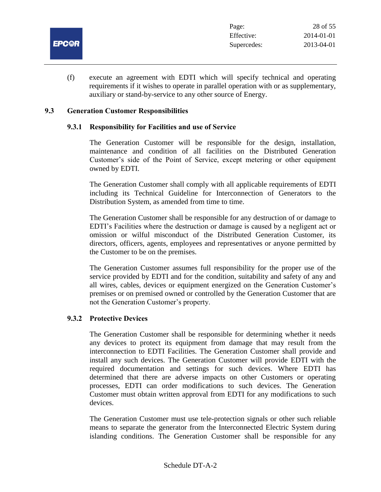

(f) execute an agreement with EDTI which will specify technical and operating requirements if it wishes to operate in parallel operation with or as supplementary, auxiliary or stand-by-service to any other source of Energy.

#### **9.3 Generation Customer Responsibilities**

#### **9.3.1 Responsibility for Facilities and use of Service**

The Generation Customer will be responsible for the design, installation, maintenance and condition of all facilities on the Distributed Generation Customer's side of the Point of Service, except metering or other equipment owned by EDTI.

The Generation Customer shall comply with all applicable requirements of EDTI including its Technical Guideline for Interconnection of Generators to the Distribution System, as amended from time to time.

The Generation Customer shall be responsible for any destruction of or damage to EDTI's Facilities where the destruction or damage is caused by a negligent act or omission or wilful misconduct of the Distributed Generation Customer, its directors, officers, agents, employees and representatives or anyone permitted by the Customer to be on the premises.

The Generation Customer assumes full responsibility for the proper use of the service provided by EDTI and for the condition, suitability and safety of any and all wires, cables, devices or equipment energized on the Generation Customer's premises or on premised owned or controlled by the Generation Customer that are not the Generation Customer's property.

#### **9.3.2 Protective Devices**

The Generation Customer shall be responsible for determining whether it needs any devices to protect its equipment from damage that may result from the interconnection to EDTI Facilities. The Generation Customer shall provide and install any such devices. The Generation Customer will provide EDTI with the required documentation and settings for such devices. Where EDTI has determined that there are adverse impacts on other Customers or operating processes, EDTI can order modifications to such devices. The Generation Customer must obtain written approval from EDTI for any modifications to such devices.

The Generation Customer must use tele-protection signals or other such reliable means to separate the generator from the Interconnected Electric System during islanding conditions. The Generation Customer shall be responsible for any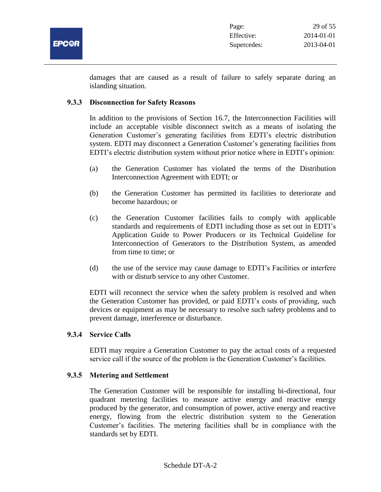

damages that are caused as a result of failure to safely separate during an islanding situation.

#### **9.3.3 Disconnection for Safety Reasons**

In addition to the provisions of Section 16.7, the Interconnection Facilities will include an acceptable visible disconnect switch as a means of isolating the Generation Customer's generating facilities from EDTI's electric distribution system. EDTI may disconnect a Generation Customer's generating facilities from EDTI's electric distribution system without prior notice where in EDTI's opinion:

- (a) the Generation Customer has violated the terms of the Distribution Interconnection Agreement with EDTI; or
- (b) the Generation Customer has permitted its facilities to deteriorate and become hazardous; or
- (c) the Generation Customer facilities fails to comply with applicable standards and requirements of EDTI including those as set out in EDTI's Application Guide to Power Producers or its Technical Guideline for Interconnection of Generators to the Distribution System, as amended from time to time; or
- (d) the use of the service may cause damage to EDTI's Facilities or interfere with or disturb service to any other Customer.

EDTI will reconnect the service when the safety problem is resolved and when the Generation Customer has provided, or paid EDTI's costs of providing, such devices or equipment as may be necessary to resolve such safety problems and to prevent damage, interference or disturbance.

#### **9.3.4 Service Calls**

EDTI may require a Generation Customer to pay the actual costs of a requested service call if the source of the problem is the Generation Customer's facilities.

#### **9.3.5 Metering and Settlement**

The Generation Customer will be responsible for installing bi-directional, four quadrant metering facilities to measure active energy and reactive energy produced by the generator, and consumption of power, active energy and reactive energy, flowing from the electric distribution system to the Generation Customer's facilities. The metering facilities shall be in compliance with the standards set by EDTI.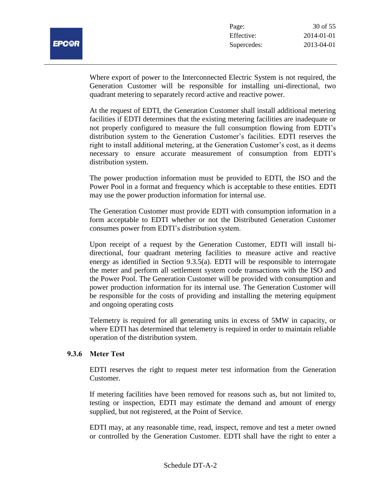| L.<br>•: ای<br>- |  |
|------------------|--|
|                  |  |

Where export of power to the Interconnected Electric System is not required, the Generation Customer will be responsible for installing uni-directional, two quadrant metering to separately record active and reactive power.

At the request of EDTI, the Generation Customer shall install additional metering facilities if EDTI determines that the existing metering facilities are inadequate or not properly configured to measure the full consumption flowing from EDTI's distribution system to the Generation Customer's facilities. EDTI reserves the right to install additional metering, at the Generation Customer's cost, as it deems necessary to ensure accurate measurement of consumption from EDTI's distribution system.

The power production information must be provided to EDTI, the ISO and the Power Pool in a format and frequency which is acceptable to these entities. EDTI may use the power production information for internal use.

The Generation Customer must provide EDTI with consumption information in a form acceptable to EDTI whether or not the Distributed Generation Customer consumes power from EDTI's distribution system.

Upon receipt of a request by the Generation Customer, EDTI will install bidirectional, four quadrant metering facilities to measure active and reactive energy as identified in Section 9.3.5(a). EDTI will be responsible to interrogate the meter and perform all settlement system code transactions with the ISO and the Power Pool. The Generation Customer will be provided with consumption and power production information for its internal use. The Generation Customer will be responsible for the costs of providing and installing the metering equipment and ongoing operating costs

Telemetry is required for all generating units in excess of 5MW in capacity, or where EDTI has determined that telemetry is required in order to maintain reliable operation of the distribution system.

## **9.3.6 Meter Test**

EDTI reserves the right to request meter test information from the Generation Customer.

If metering facilities have been removed for reasons such as, but not limited to, testing or inspection, EDTI may estimate the demand and amount of energy supplied, but not registered, at the Point of Service.

EDTI may, at any reasonable time, read, inspect, remove and test a meter owned or controlled by the Generation Customer. EDTI shall have the right to enter a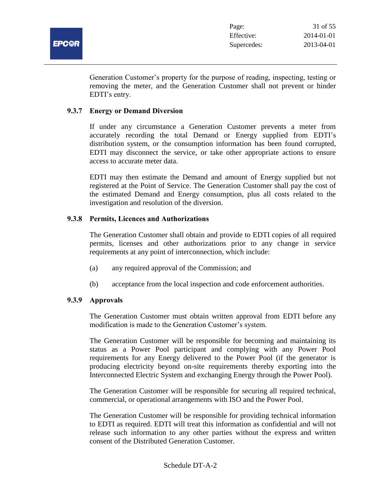

Generation Customer's property for the purpose of reading, inspecting, testing or removing the meter, and the Generation Customer shall not prevent or hinder EDTI's entry.

#### **9.3.7 Energy or Demand Diversion**

If under any circumstance a Generation Customer prevents a meter from accurately recording the total Demand or Energy supplied from EDTI's distribution system, or the consumption information has been found corrupted, EDTI may disconnect the service, or take other appropriate actions to ensure access to accurate meter data.

EDTI may then estimate the Demand and amount of Energy supplied but not registered at the Point of Service. The Generation Customer shall pay the cost of the estimated Demand and Energy consumption, plus all costs related to the investigation and resolution of the diversion.

# **9.3.8 Permits, Licences and Authorizations**

The Generation Customer shall obtain and provide to EDTI copies of all required permits, licenses and other authorizations prior to any change in service requirements at any point of interconnection, which include:

- (a) any required approval of the Commission; and
- (b) acceptance from the local inspection and code enforcement authorities.

# **9.3.9 Approvals**

The Generation Customer must obtain written approval from EDTI before any modification is made to the Generation Customer's system.

The Generation Customer will be responsible for becoming and maintaining its status as a Power Pool participant and complying with any Power Pool requirements for any Energy delivered to the Power Pool (if the generator is producing electricity beyond on-site requirements thereby exporting into the Interconnected Electric System and exchanging Energy through the Power Pool).

The Generation Customer will be responsible for securing all required technical, commercial, or operational arrangements with ISO and the Power Pool.

The Generation Customer will be responsible for providing technical information to EDTI as required. EDTI will treat this information as confidential and will not release such information to any other parties without the express and written consent of the Distributed Generation Customer.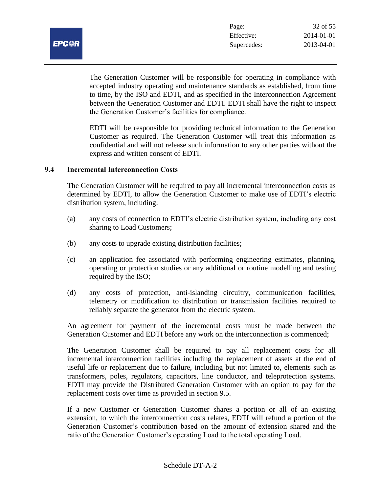

The Generation Customer will be responsible for operating in compliance with accepted industry operating and maintenance standards as established, from time to time, by the ISO and EDTI, and as specified in the Interconnection Agreement between the Generation Customer and EDTI. EDTI shall have the right to inspect the Generation Customer's facilities for compliance.

EDTI will be responsible for providing technical information to the Generation Customer as required. The Generation Customer will treat this information as confidential and will not release such information to any other parties without the express and written consent of EDTI.

#### **9.4 Incremental Interconnection Costs**

The Generation Customer will be required to pay all incremental interconnection costs as determined by EDTI, to allow the Generation Customer to make use of EDTI's electric distribution system, including:

- (a) any costs of connection to EDTI's electric distribution system, including any cost sharing to Load Customers;
- (b) any costs to upgrade existing distribution facilities;
- (c) an application fee associated with performing engineering estimates, planning, operating or protection studies or any additional or routine modelling and testing required by the ISO;
- (d) any costs of protection, anti-islanding circuitry, communication facilities, telemetry or modification to distribution or transmission facilities required to reliably separate the generator from the electric system.

An agreement for payment of the incremental costs must be made between the Generation Customer and EDTI before any work on the interconnection is commenced;

The Generation Customer shall be required to pay all replacement costs for all incremental interconnection facilities including the replacement of assets at the end of useful life or replacement due to failure, including but not limited to, elements such as transformers, poles, regulators, capacitors, line conductor, and teleprotection systems. EDTI may provide the Distributed Generation Customer with an option to pay for the replacement costs over time as provided in section 9.5.

If a new Customer or Generation Customer shares a portion or all of an existing extension, to which the interconnection costs relates, EDTI will refund a portion of the Generation Customer's contribution based on the amount of extension shared and the ratio of the Generation Customer's operating Load to the total operating Load.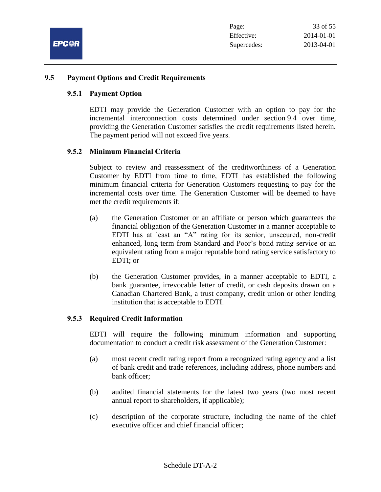

#### **9.5 Payment Options and Credit Requirements**

#### **9.5.1 Payment Option**

EDTI may provide the Generation Customer with an option to pay for the incremental interconnection costs determined under section 9.4 over time, providing the Generation Customer satisfies the credit requirements listed herein. The payment period will not exceed five years.

#### **9.5.2 Minimum Financial Criteria**

Subject to review and reassessment of the creditworthiness of a Generation Customer by EDTI from time to time, EDTI has established the following minimum financial criteria for Generation Customers requesting to pay for the incremental costs over time. The Generation Customer will be deemed to have met the credit requirements if:

- (a) the Generation Customer or an affiliate or person which guarantees the financial obligation of the Generation Customer in a manner acceptable to EDTI has at least an "A" rating for its senior, unsecured, non-credit enhanced, long term from Standard and Poor's bond rating service or an equivalent rating from a major reputable bond rating service satisfactory to EDTI; or
- (b) the Generation Customer provides, in a manner acceptable to EDTI, a bank guarantee, irrevocable letter of credit, or cash deposits drawn on a Canadian Chartered Bank, a trust company, credit union or other lending institution that is acceptable to EDTI.

#### **9.5.3 Required Credit Information**

EDTI will require the following minimum information and supporting documentation to conduct a credit risk assessment of the Generation Customer:

- (a) most recent credit rating report from a recognized rating agency and a list of bank credit and trade references, including address, phone numbers and bank officer;
- (b) audited financial statements for the latest two years (two most recent annual report to shareholders, if applicable);
- (c) description of the corporate structure, including the name of the chief executive officer and chief financial officer;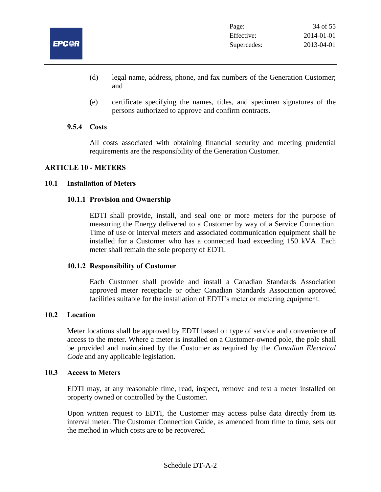

- (d) legal name, address, phone, and fax numbers of the Generation Customer; and
- (e) certificate specifying the names, titles, and specimen signatures of the persons authorized to approve and confirm contracts.

#### **9.5.4 Costs**

All costs associated with obtaining financial security and meeting prudential requirements are the responsibility of the Generation Customer.

## **ARTICLE 10 - METERS**

#### **10.1 Installation of Meters**

#### **10.1.1 Provision and Ownership**

EDTI shall provide, install, and seal one or more meters for the purpose of measuring the Energy delivered to a Customer by way of a Service Connection. Time of use or interval meters and associated communication equipment shall be installed for a Customer who has a connected load exceeding 150 kVA. Each meter shall remain the sole property of EDTI.

#### **10.1.2 Responsibility of Customer**

Each Customer shall provide and install a Canadian Standards Association approved meter receptacle or other Canadian Standards Association approved facilities suitable for the installation of EDTI's meter or metering equipment.

#### **10.2 Location**

Meter locations shall be approved by EDTI based on type of service and convenience of access to the meter. Where a meter is installed on a Customer-owned pole, the pole shall be provided and maintained by the Customer as required by the *Canadian Electrical Code* and any applicable legislation.

#### **10.3 Access to Meters**

EDTI may, at any reasonable time, read, inspect, remove and test a meter installed on property owned or controlled by the Customer.

Upon written request to EDTI, the Customer may access pulse data directly from its interval meter. The Customer Connection Guide, as amended from time to time, sets out the method in which costs are to be recovered.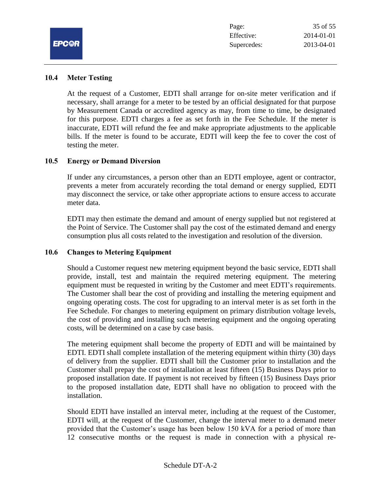

#### **10.4 Meter Testing**

At the request of a Customer, EDTI shall arrange for on-site meter verification and if necessary, shall arrange for a meter to be tested by an official designated for that purpose by Measurement Canada or accredited agency as may, from time to time, be designated for this purpose. EDTI charges a fee as set forth in the Fee Schedule. If the meter is inaccurate, EDTI will refund the fee and make appropriate adjustments to the applicable bills. If the meter is found to be accurate, EDTI will keep the fee to cover the cost of testing the meter.

#### **10.5 Energy or Demand Diversion**

If under any circumstances, a person other than an EDTI employee, agent or contractor, prevents a meter from accurately recording the total demand or energy supplied, EDTI may disconnect the service, or take other appropriate actions to ensure access to accurate meter data.

EDTI may then estimate the demand and amount of energy supplied but not registered at the Point of Service. The Customer shall pay the cost of the estimated demand and energy consumption plus all costs related to the investigation and resolution of the diversion.

#### **10.6 Changes to Metering Equipment**

Should a Customer request new metering equipment beyond the basic service, EDTI shall provide, install, test and maintain the required metering equipment. The metering equipment must be requested in writing by the Customer and meet EDTI's requirements. The Customer shall bear the cost of providing and installing the metering equipment and ongoing operating costs. The cost for upgrading to an interval meter is as set forth in the Fee Schedule. For changes to metering equipment on primary distribution voltage levels, the cost of providing and installing such metering equipment and the ongoing operating costs, will be determined on a case by case basis.

The metering equipment shall become the property of EDTI and will be maintained by EDTI. EDTI shall complete installation of the metering equipment within thirty (30) days of delivery from the supplier. EDTI shall bill the Customer prior to installation and the Customer shall prepay the cost of installation at least fifteen (15) Business Days prior to proposed installation date. If payment is not received by fifteen (15) Business Days prior to the proposed installation date, EDTI shall have no obligation to proceed with the installation.

Should EDTI have installed an interval meter, including at the request of the Customer, EDTI will, at the request of the Customer, change the interval meter to a demand meter provided that the Customer's usage has been below 150 kVA for a period of more than 12 consecutive months or the request is made in connection with a physical re-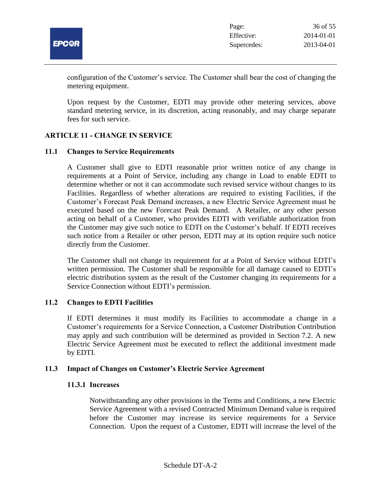

configuration of the Customer's service. The Customer shall bear the cost of changing the metering equipment.

Upon request by the Customer, EDTI may provide other metering services, above standard metering service, in its discretion, acting reasonably, and may charge separate fees for such service.

## **ARTICLE 11 - CHANGE IN SERVICE**

#### **11.1 Changes to Service Requirements**

A Customer shall give to EDTI reasonable prior written notice of any change in requirements at a Point of Service, including any change in Load to enable EDTI to determine whether or not it can accommodate such revised service without changes to its Facilities. Regardless of whether alterations are required to existing Facilities, if the Customer's Forecast Peak Demand increases, a new Electric Service Agreement must be executed based on the new Forecast Peak Demand.A Retailer, or any other person acting on behalf of a Customer, who provides EDTI with verifiable authorization from the Customer may give such notice to EDTI on the Customer's behalf. If EDTI receives such notice from a Retailer or other person, EDTI may at its option require such notice directly from the Customer.

The Customer shall not change its requirement for at a Point of Service without EDTI's written permission. The Customer shall be responsible for all damage caused to EDTI's electric distribution system as the result of the Customer changing its requirements for a Service Connection without EDTI's permission.

#### **11.2 Changes to EDTI Facilities**

If EDTI determines it must modify its Facilities to accommodate a change in a Customer's requirements for a Service Connection, a Customer Distribution Contribution may apply and such contribution will be determined as provided in Section 7.2. A new Electric Service Agreement must be executed to reflect the additional investment made by EDTI.

#### **11.3 Impact of Changes on Customer's Electric Service Agreement**

#### **11.3.1 Increases**

Notwithstanding any other provisions in the Terms and Conditions, a new Electric Service Agreement with a revised Contracted Minimum Demand value is required before the Customer may increase its service requirements for a Service Connection. Upon the request of a Customer, EDTI will increase the level of the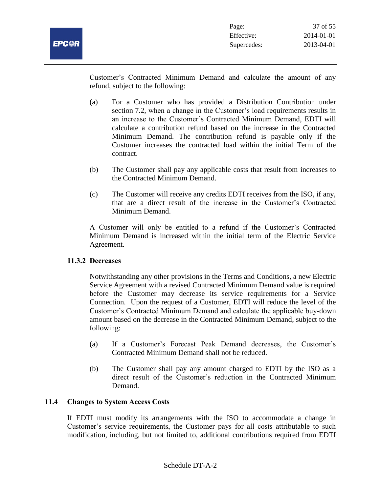Customer's Contracted Minimum Demand and calculate the amount of any refund, subject to the following:

- (a) For a Customer who has provided a Distribution Contribution under section 7.2, when a change in the Customer's load requirements results in an increase to the Customer's Contracted Minimum Demand, EDTI will calculate a contribution refund based on the increase in the Contracted Minimum Demand. The contribution refund is payable only if the Customer increases the contracted load within the initial Term of the contract.
- (b) The Customer shall pay any applicable costs that result from increases to the Contracted Minimum Demand.
- (c) The Customer will receive any credits EDTI receives from the ISO, if any, that are a direct result of the increase in the Customer's Contracted Minimum Demand.

A Customer will only be entitled to a refund if the Customer's Contracted Minimum Demand is increased within the initial term of the Electric Service Agreement.

# **11.3.2 Decreases**

Notwithstanding any other provisions in the Terms and Conditions, a new Electric Service Agreement with a revised Contracted Minimum Demand value is required before the Customer may decrease its service requirements for a Service Connection. Upon the request of a Customer, EDTI will reduce the level of the Customer's Contracted Minimum Demand and calculate the applicable buy-down amount based on the decrease in the Contracted Minimum Demand, subject to the following:

- (a) If a Customer's Forecast Peak Demand decreases, the Customer's Contracted Minimum Demand shall not be reduced.
- (b) The Customer shall pay any amount charged to EDTI by the ISO as a direct result of the Customer's reduction in the Contracted Minimum Demand.

# **11.4 Changes to System Access Costs**

If EDTI must modify its arrangements with the ISO to accommodate a change in Customer's service requirements, the Customer pays for all costs attributable to such modification, including, but not limited to, additional contributions required from EDTI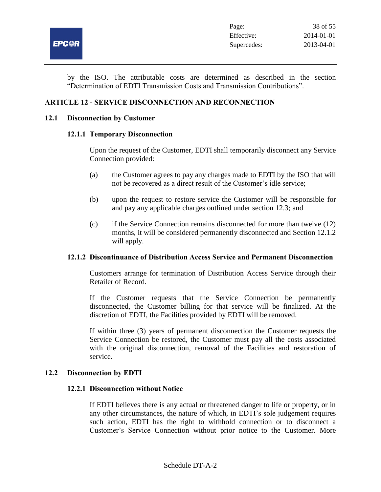

by the ISO. The attributable costs are determined as described in the section "Determination of EDTI Transmission Costs and Transmission Contributions".

## **ARTICLE 12 - SERVICE DISCONNECTION AND RECONNECTION**

#### **12.1 Disconnection by Customer**

#### **12.1.1 Temporary Disconnection**

Upon the request of the Customer, EDTI shall temporarily disconnect any Service Connection provided:

- (a) the Customer agrees to pay any charges made to EDTI by the ISO that will not be recovered as a direct result of the Customer's idle service;
- (b) upon the request to restore service the Customer will be responsible for and pay any applicable charges outlined under section 12.3; and
- (c) if the Service Connection remains disconnected for more than twelve (12) months, it will be considered permanently disconnected and Section 12.1.2 will apply.

## **12.1.2 Discontinuance of Distribution Access Service and Permanent Disconnection**

Customers arrange for termination of Distribution Access Service through their Retailer of Record.

If the Customer requests that the Service Connection be permanently disconnected, the Customer billing for that service will be finalized. At the discretion of EDTI, the Facilities provided by EDTI will be removed.

If within three (3) years of permanent disconnection the Customer requests the Service Connection be restored, the Customer must pay all the costs associated with the original disconnection, removal of the Facilities and restoration of service.

#### **12.2 Disconnection by EDTI**

#### **12.2.1 Disconnection without Notice**

If EDTI believes there is any actual or threatened danger to life or property, or in any other circumstances, the nature of which, in EDTI's sole judgement requires such action, EDTI has the right to withhold connection or to disconnect a Customer's Service Connection without prior notice to the Customer. More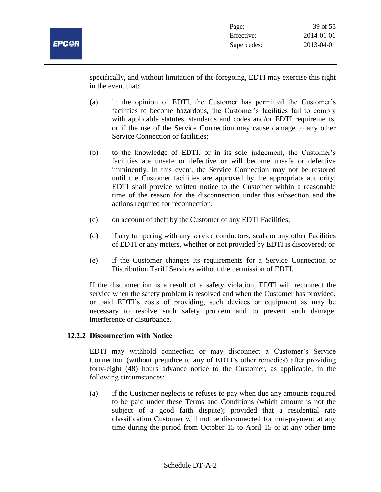

specifically, and without limitation of the foregoing, EDTI may exercise this right in the event that:

- (a) in the opinion of EDTI, the Customer has permitted the Customer's facilities to become hazardous, the Customer's facilities fail to comply with applicable statutes, standards and codes and/or EDTI requirements, or if the use of the Service Connection may cause damage to any other Service Connection or facilities;
- (b) to the knowledge of EDTI, or in its sole judgement, the Customer's facilities are unsafe or defective or will become unsafe or defective imminently. In this event, the Service Connection may not be restored until the Customer facilities are approved by the appropriate authority. EDTI shall provide written notice to the Customer within a reasonable time of the reason for the disconnection under this subsection and the actions required for reconnection;
- (c) on account of theft by the Customer of any EDTI Facilities;
- (d) if any tampering with any service conductors, seals or any other Facilities of EDTI or any meters, whether or not provided by EDTI is discovered; or
- (e) if the Customer changes its requirements for a Service Connection or Distribution Tariff Services without the permission of EDTI.

If the disconnection is a result of a safety violation, EDTI will reconnect the service when the safety problem is resolved and when the Customer has provided, or paid EDTI's costs of providing, such devices or equipment as may be necessary to resolve such safety problem and to prevent such damage, interference or disturbance.

# **12.2.2 Disconnection with Notice**

EDTI may withhold connection or may disconnect a Customer's Service Connection (without prejudice to any of EDTI's other remedies) after providing forty-eight (48) hours advance notice to the Customer, as applicable, in the following circumstances:

(a) if the Customer neglects or refuses to pay when due any amounts required to be paid under these Terms and Conditions (which amount is not the subject of a good faith dispute); provided that a residential rate classification Customer will not be disconnected for non-payment at any time during the period from October 15 to April 15 or at any other time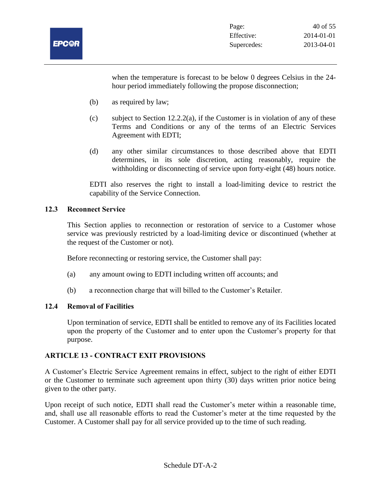

when the temperature is forecast to be below 0 degrees Celsius in the 24 hour period immediately following the propose disconnection;

- (b) as required by law;
- (c) subject to Section 12.2.2(a), if the Customer is in violation of any of these Terms and Conditions or any of the terms of an Electric Services Agreement with EDTI;
- (d) any other similar circumstances to those described above that EDTI determines, in its sole discretion, acting reasonably, require the withholding or disconnecting of service upon forty-eight (48) hours notice.

EDTI also reserves the right to install a load-limiting device to restrict the capability of the Service Connection.

## **12.3 Reconnect Service**

This Section applies to reconnection or restoration of service to a Customer whose service was previously restricted by a load-limiting device or discontinued (whether at the request of the Customer or not).

Before reconnecting or restoring service, the Customer shall pay:

- (a) any amount owing to EDTI including written off accounts; and
- (b) a reconnection charge that will billed to the Customer's Retailer.

# **12.4 Removal of Facilities**

Upon termination of service, EDTI shall be entitled to remove any of its Facilities located upon the property of the Customer and to enter upon the Customer's property for that purpose.

# **ARTICLE 13 - CONTRACT EXIT PROVISIONS**

A Customer's Electric Service Agreement remains in effect, subject to the right of either EDTI or the Customer to terminate such agreement upon thirty (30) days written prior notice being given to the other party.

Upon receipt of such notice, EDTI shall read the Customer's meter within a reasonable time, and, shall use all reasonable efforts to read the Customer's meter at the time requested by the Customer. A Customer shall pay for all service provided up to the time of such reading.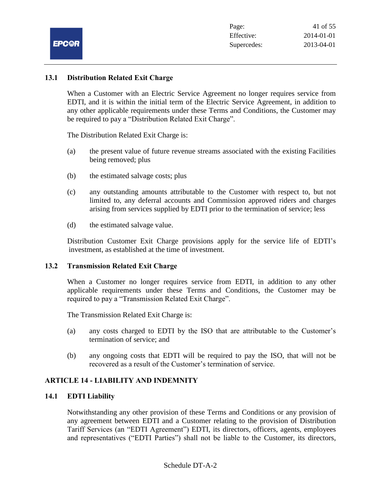

#### **13.1 Distribution Related Exit Charge**

When a Customer with an Electric Service Agreement no longer requires service from EDTI, and it is within the initial term of the Electric Service Agreement, in addition to any other applicable requirements under these Terms and Conditions, the Customer may be required to pay a "Distribution Related Exit Charge".

The Distribution Related Exit Charge is:

- (a) the present value of future revenue streams associated with the existing Facilities being removed; plus
- (b) the estimated salvage costs; plus
- (c) any outstanding amounts attributable to the Customer with respect to, but not limited to, any deferral accounts and Commission approved riders and charges arising from services supplied by EDTI prior to the termination of service; less
- (d) the estimated salvage value.

Distribution Customer Exit Charge provisions apply for the service life of EDTI's investment, as established at the time of investment.

#### **13.2 Transmission Related Exit Charge**

When a Customer no longer requires service from EDTI, in addition to any other applicable requirements under these Terms and Conditions, the Customer may be required to pay a "Transmission Related Exit Charge".

The Transmission Related Exit Charge is:

- (a) any costs charged to EDTI by the ISO that are attributable to the Customer's termination of service; and
- (b) any ongoing costs that EDTI will be required to pay the ISO, that will not be recovered as a result of the Customer's termination of service.

## **ARTICLE 14 - LIABILITY AND INDEMNITY**

#### **14.1 EDTI Liability**

Notwithstanding any other provision of these Terms and Conditions or any provision of any agreement between EDTI and a Customer relating to the provision of Distribution Tariff Services (an "EDTI Agreement") EDTI, its directors, officers, agents, employees and representatives ("EDTI Parties") shall not be liable to the Customer, its directors,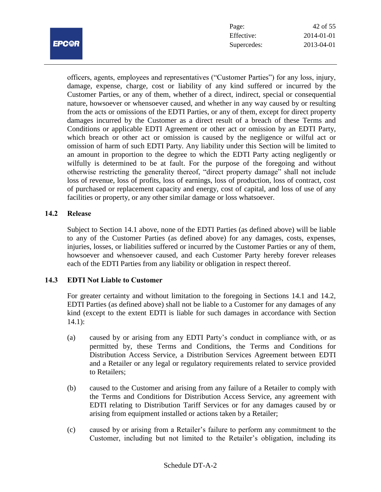

| Page:       | 42 of 55   |
|-------------|------------|
| Effective:  | 2014-01-01 |
| Supercedes: | 2013-04-01 |

officers, agents, employees and representatives ("Customer Parties") for any loss, injury, damage, expense, charge, cost or liability of any kind suffered or incurred by the Customer Parties, or any of them, whether of a direct, indirect, special or consequential nature, howsoever or whensoever caused, and whether in any way caused by or resulting from the acts or omissions of the EDTI Parties, or any of them, except for direct property damages incurred by the Customer as a direct result of a breach of these Terms and Conditions or applicable EDTI Agreement or other act or omission by an EDTI Party, which breach or other act or omission is caused by the negligence or wilful act or omission of harm of such EDTI Party. Any liability under this Section will be limited to an amount in proportion to the degree to which the EDTI Party acting negligently or wilfully is determined to be at fault. For the purpose of the foregoing and without otherwise restricting the generality thereof, "direct property damage" shall not include loss of revenue, loss of profits, loss of earnings, loss of production, loss of contract, cost of purchased or replacement capacity and energy, cost of capital, and loss of use of any facilities or property, or any other similar damage or loss whatsoever.

#### **14.2 Release**

Subject to Section 14.1 above, none of the EDTI Parties (as defined above) will be liable to any of the Customer Parties (as defined above) for any damages, costs, expenses, injuries, losses, or liabilities suffered or incurred by the Customer Parties or any of them, howsoever and whensoever caused, and each Customer Party hereby forever releases each of the EDTI Parties from any liability or obligation in respect thereof.

# **14.3 EDTI Not Liable to Customer**

For greater certainty and without limitation to the foregoing in Sections 14.1 and 14.2, EDTI Parties (as defined above) shall not be liable to a Customer for any damages of any kind (except to the extent EDTI is liable for such damages in accordance with Section 14.1):

- (a) caused by or arising from any EDTI Party's conduct in compliance with, or as permitted by, these Terms and Conditions, the Terms and Conditions for Distribution Access Service, a Distribution Services Agreement between EDTI and a Retailer or any legal or regulatory requirements related to service provided to Retailers;
- (b) caused to the Customer and arising from any failure of a Retailer to comply with the Terms and Conditions for Distribution Access Service, any agreement with EDTI relating to Distribution Tariff Services or for any damages caused by or arising from equipment installed or actions taken by a Retailer;
- (c) caused by or arising from a Retailer's failure to perform any commitment to the Customer, including but not limited to the Retailer's obligation, including its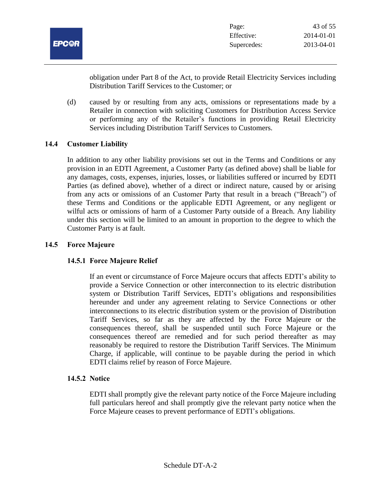

obligation under Part 8 of the Act, to provide Retail Electricity Services including Distribution Tariff Services to the Customer; or

(d) caused by or resulting from any acts, omissions or representations made by a Retailer in connection with soliciting Customers for Distribution Access Service or performing any of the Retailer's functions in providing Retail Electricity Services including Distribution Tariff Services to Customers.

## **14.4 Customer Liability**

In addition to any other liability provisions set out in the Terms and Conditions or any provision in an EDTI Agreement, a Customer Party (as defined above) shall be liable for any damages, costs, expenses, injuries, losses, or liabilities suffered or incurred by EDTI Parties (as defined above), whether of a direct or indirect nature, caused by or arising from any acts or omissions of an Customer Party that result in a breach ("Breach") of these Terms and Conditions or the applicable EDTI Agreement, or any negligent or wilful acts or omissions of harm of a Customer Party outside of a Breach. Any liability under this section will be limited to an amount in proportion to the degree to which the Customer Party is at fault.

## **14.5 Force Majeure**

# **14.5.1 Force Majeure Relief**

If an event or circumstance of Force Majeure occurs that affects EDTI's ability to provide a Service Connection or other interconnection to its electric distribution system or Distribution Tariff Services, EDTI's obligations and responsibilities hereunder and under any agreement relating to Service Connections or other interconnections to its electric distribution system or the provision of Distribution Tariff Services, so far as they are affected by the Force Majeure or the consequences thereof, shall be suspended until such Force Majeure or the consequences thereof are remedied and for such period thereafter as may reasonably be required to restore the Distribution Tariff Services. The Minimum Charge, if applicable, will continue to be payable during the period in which EDTI claims relief by reason of Force Majeure.

# **14.5.2 Notice**

EDTI shall promptly give the relevant party notice of the Force Majeure including full particulars hereof and shall promptly give the relevant party notice when the Force Majeure ceases to prevent performance of EDTI's obligations.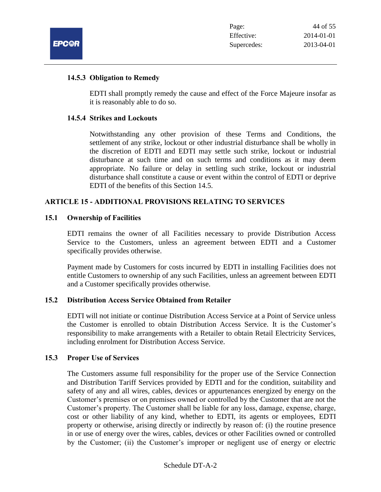

#### **14.5.3 Obligation to Remedy**

EDTI shall promptly remedy the cause and effect of the Force Majeure insofar as it is reasonably able to do so.

#### **14.5.4 Strikes and Lockouts**

Notwithstanding any other provision of these Terms and Conditions, the settlement of any strike, lockout or other industrial disturbance shall be wholly in the discretion of EDTI and EDTI may settle such strike, lockout or industrial disturbance at such time and on such terms and conditions as it may deem appropriate. No failure or delay in settling such strike, lockout or industrial disturbance shall constitute a cause or event within the control of EDTI or deprive EDTI of the benefits of this Section 14.5.

## **ARTICLE 15 - ADDITIONAL PROVISIONS RELATING TO SERVICES**

#### **15.1 Ownership of Facilities**

EDTI remains the owner of all Facilities necessary to provide Distribution Access Service to the Customers, unless an agreement between EDTI and a Customer specifically provides otherwise.

Payment made by Customers for costs incurred by EDTI in installing Facilities does not entitle Customers to ownership of any such Facilities, unless an agreement between EDTI and a Customer specifically provides otherwise.

#### **15.2 Distribution Access Service Obtained from Retailer**

EDTI will not initiate or continue Distribution Access Service at a Point of Service unless the Customer is enrolled to obtain Distribution Access Service. It is the Customer's responsibility to make arrangements with a Retailer to obtain Retail Electricity Services, including enrolment for Distribution Access Service.

#### **15.3 Proper Use of Services**

The Customers assume full responsibility for the proper use of the Service Connection and Distribution Tariff Services provided by EDTI and for the condition, suitability and safety of any and all wires, cables, devices or appurtenances energized by energy on the Customer's premises or on premises owned or controlled by the Customer that are not the Customer's property. The Customer shall be liable for any loss, damage, expense, charge, cost or other liability of any kind, whether to EDTI, its agents or employees, EDTI property or otherwise, arising directly or indirectly by reason of: (i) the routine presence in or use of energy over the wires, cables, devices or other Facilities owned or controlled by the Customer; (ii) the Customer's improper or negligent use of energy or electric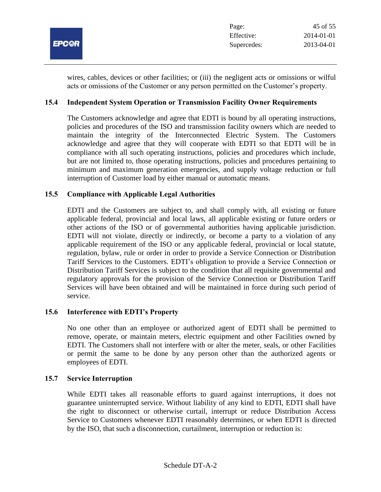

wires, cables, devices or other facilities; or (iii) the negligent acts or omissions or wilful acts or omissions of the Customer or any person permitted on the Customer's property.

## **15.4 Independent System Operation or Transmission Facility Owner Requirements**

The Customers acknowledge and agree that EDTI is bound by all operating instructions, policies and procedures of the ISO and transmission facility owners which are needed to maintain the integrity of the Interconnected Electric System. The Customers acknowledge and agree that they will cooperate with EDTI so that EDTI will be in compliance with all such operating instructions, policies and procedures which include, but are not limited to, those operating instructions, policies and procedures pertaining to minimum and maximum generation emergencies, and supply voltage reduction or full interruption of Customer load by either manual or automatic means.

#### **15.5 Compliance with Applicable Legal Authorities**

EDTI and the Customers are subject to, and shall comply with, all existing or future applicable federal, provincial and local laws, all applicable existing or future orders or other actions of the ISO or of governmental authorities having applicable jurisdiction. EDTI will not violate, directly or indirectly, or become a party to a violation of any applicable requirement of the ISO or any applicable federal, provincial or local statute, regulation, bylaw, rule or order in order to provide a Service Connection or Distribution Tariff Services to the Customers. EDTI's obligation to provide a Service Connection or Distribution Tariff Services is subject to the condition that all requisite governmental and regulatory approvals for the provision of the Service Connection or Distribution Tariff Services will have been obtained and will be maintained in force during such period of service.

#### **15.6 Interference with EDTI's Property**

No one other than an employee or authorized agent of EDTI shall be permitted to remove, operate, or maintain meters, electric equipment and other Facilities owned by EDTI. The Customers shall not interfere with or alter the meter, seals, or other Facilities or permit the same to be done by any person other than the authorized agents or employees of EDTI.

#### **15.7 Service Interruption**

While EDTI takes all reasonable efforts to guard against interruptions, it does not guarantee uninterrupted service. Without liability of any kind to EDTI, EDTI shall have the right to disconnect or otherwise curtail, interrupt or reduce Distribution Access Service to Customers whenever EDTI reasonably determines, or when EDTI is directed by the ISO, that such a disconnection, curtailment, interruption or reduction is: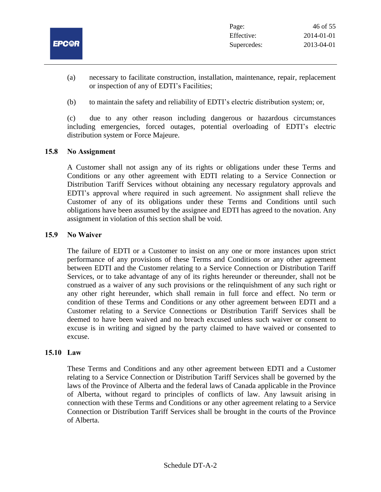

- (a) necessary to facilitate construction, installation, maintenance, repair, replacement or inspection of any of EDTI's Facilities;
- (b) to maintain the safety and reliability of EDTI's electric distribution system; or,

(c) due to any other reason including dangerous or hazardous circumstances including emergencies, forced outages, potential overloading of EDTI's electric distribution system or Force Majeure.

# **15.8 No Assignment**

A Customer shall not assign any of its rights or obligations under these Terms and Conditions or any other agreement with EDTI relating to a Service Connection or Distribution Tariff Services without obtaining any necessary regulatory approvals and EDTI's approval where required in such agreement. No assignment shall relieve the Customer of any of its obligations under these Terms and Conditions until such obligations have been assumed by the assignee and EDTI has agreed to the novation. Any assignment in violation of this section shall be void.

# **15.9 No Waiver**

The failure of EDTI or a Customer to insist on any one or more instances upon strict performance of any provisions of these Terms and Conditions or any other agreement between EDTI and the Customer relating to a Service Connection or Distribution Tariff Services, or to take advantage of any of its rights hereunder or thereunder, shall not be construed as a waiver of any such provisions or the relinquishment of any such right or any other right hereunder, which shall remain in full force and effect. No term or condition of these Terms and Conditions or any other agreement between EDTI and a Customer relating to a Service Connections or Distribution Tariff Services shall be deemed to have been waived and no breach excused unless such waiver or consent to excuse is in writing and signed by the party claimed to have waived or consented to excuse.

# **15.10 Law**

These Terms and Conditions and any other agreement between EDTI and a Customer relating to a Service Connection or Distribution Tariff Services shall be governed by the laws of the Province of Alberta and the federal laws of Canada applicable in the Province of Alberta, without regard to principles of conflicts of law. Any lawsuit arising in connection with these Terms and Conditions or any other agreement relating to a Service Connection or Distribution Tariff Services shall be brought in the courts of the Province of Alberta.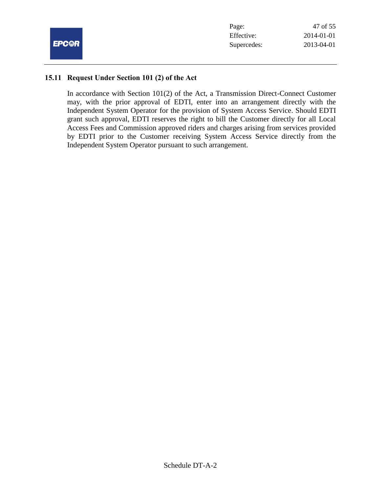

| Page:       | 47 of 55         |
|-------------|------------------|
| Effective:  | $2014 - 01 - 01$ |
| Supercedes: | 2013-04-01       |

#### **15.11 Request Under Section 101 (2) of the Act**

In accordance with Section 101(2) of the Act, a Transmission Direct-Connect Customer may, with the prior approval of EDTI, enter into an arrangement directly with the Independent System Operator for the provision of System Access Service. Should EDTI grant such approval, EDTI reserves the right to bill the Customer directly for all Local Access Fees and Commission approved riders and charges arising from services provided by EDTI prior to the Customer receiving System Access Service directly from the Independent System Operator pursuant to such arrangement.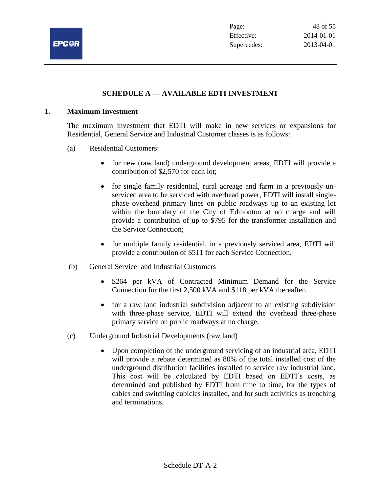

# **SCHEDULE A — AVAILABLE EDTI INVESTMENT**

#### **1. Maximum Investment**

The maximum investment that EDTI will make in new services or expansions for Residential, General Service and Industrial Customer classes is as follows:

- (a) Residential Customers:
	- for new (raw land) underground development areas, EDTI will provide a contribution of \$2,570 for each lot;
	- for single family residential, rural acreage and farm in a previously unserviced area to be serviced with overhead power, EDTI will install singlephase overhead primary lines on public roadways up to an existing lot within the boundary of the City of Edmonton at no charge and will provide a contribution of up to \$795 for the transformer installation and the Service Connection;
	- for multiple family residential, in a previously serviced area, EDTI will provide a contribution of \$511 for each Service Connection.
- (b) General Service and Industrial Customers
	- \$264 per kVA of Contracted Minimum Demand for the Service Connection for the first 2,500 kVA and \$118 per kVA thereafter.
	- for a raw land industrial subdivision adjacent to an existing subdivision with three-phase service, EDTI will extend the overhead three-phase primary service on public roadways at no charge.
- (c) Underground Industrial Developments (raw land)
	- Upon completion of the underground servicing of an industrial area, EDTI will provide a rebate determined as 80% of the total installed cost of the underground distribution facilities installed to service raw industrial land. This cost will be calculated by EDTI based on EDTI's costs, as determined and published by EDTI from time to time, for the types of cables and switching cubicles installed, and for such activities as trenching and terminations.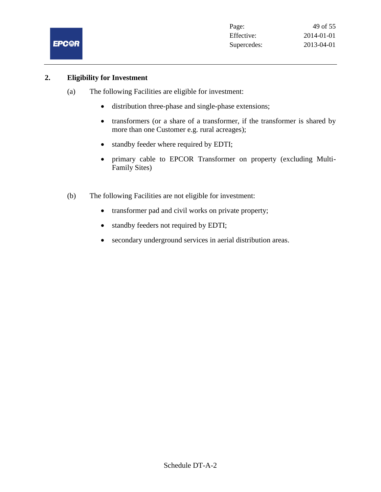

### **2. Eligibility for Investment**

- (a) The following Facilities are eligible for investment:
	- distribution three-phase and single-phase extensions;
	- transformers (or a share of a transformer, if the transformer is shared by more than one Customer e.g. rural acreages);
	- standby feeder where required by EDTI;
	- primary cable to EPCOR Transformer on property (excluding Multi-Family Sites)
- (b) The following Facilities are not eligible for investment:
	- transformer pad and civil works on private property;
	- standby feeders not required by EDTI;
	- secondary underground services in aerial distribution areas.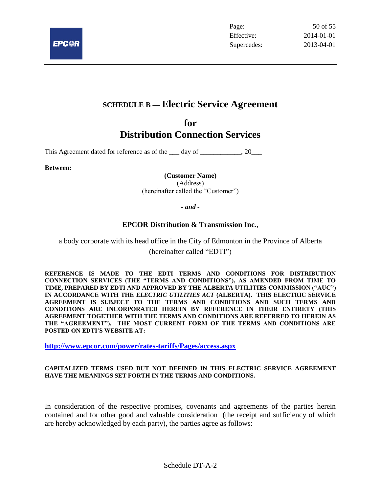

# **SCHEDULE B — Electric Service Agreement**

# **for Distribution Connection Services**

This Agreement dated for reference as of the 1 day of 1, 20

**Between:**

**(Customer Name)** (Address) (hereinafter called the "Customer")

*- and -*

## **EPCOR Distribution & Transmission Inc**.,

a body corporate with its head office in the City of Edmonton in the Province of Alberta (hereinafter called "EDTI")

**REFERENCE IS MADE TO THE EDTI TERMS AND CONDITIONS FOR DISTRIBUTION CONNECTION SERVICES (THE "TERMS AND CONDITIONS"), AS AMENDED FROM TIME TO TIME, PREPARED BY EDTI AND APPROVED BY THE ALBERTA UTILITIES COMMISSION ("AUC") IN ACCORDANCE WITH THE** *ELECTRIC UTILITIES ACT* **(ALBERTA). THIS ELECTRIC SERVICE AGREEMENT IS SUBJECT TO THE TERMS AND CONDITIONS AND SUCH TERMS AND CONDITIONS ARE INCORPORATED HEREIN BY REFERENCE IN THEIR ENTIRETY (THIS AGREEMENT TOGETHER WITH THE TERMS AND CONDITIONS ARE REFERRED TO HEREIN AS THE "AGREEMENT"). THE MOST CURRENT FORM OF THE TERMS AND CONDITIONS ARE POSTED ON EDTI'S WEBSITE AT:**

**<http://www.epcor.com/power/rates-tariffs/Pages/access.aspx>**

#### **CAPITALIZED TERMS USED BUT NOT DEFINED IN THIS ELECTRIC SERVICE AGREEMENT HAVE THE MEANINGS SET FORTH IN THE TERMS AND CONDITIONS.**

\_\_\_\_\_\_\_\_\_\_\_\_\_\_\_\_\_\_\_

In consideration of the respective promises, covenants and agreements of the parties herein contained and for other good and valuable consideration (the receipt and sufficiency of which are hereby acknowledged by each party), the parties agree as follows: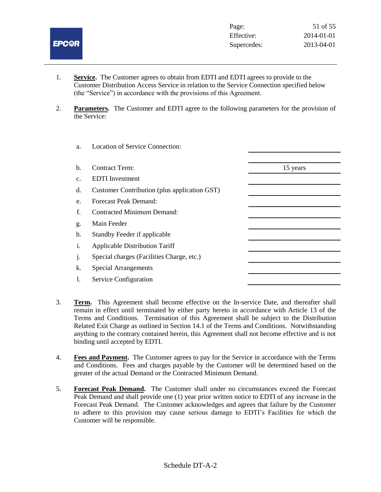

- 1. **Service.** The Customer agrees to obtain from EDTI and EDTI agrees to provide to the Customer Distribution Access Service in relation to the Service Connection specified below (the "Service") in accordance with the provisions of this Agreement.
- 2. **Parameters.** The Customer and EDTI agree to the following parameters for the provision of the Service:

| a.             | <b>Location of Service Connection:</b>       |          |
|----------------|----------------------------------------------|----------|
| $\mathbf{b}$ . | <b>Contract Term:</b>                        | 15 years |
| c.             | <b>EDTI</b> Investment                       |          |
| d.             | Customer Contribution (plus application GST) |          |
| e.             | Forecast Peak Demand:                        |          |
| f.             | Contracted Minimum Demand:                   |          |
| g.             | Main Feeder                                  |          |
| h.             | Standby Feeder if applicable                 |          |
| i.             | <b>Applicable Distribution Tariff</b>        |          |
| j.             | Special charges (Facilities Charge, etc.)    |          |
| k.             | <b>Special Arrangements</b>                  |          |
| 1.             | Service Configuration                        |          |
|                |                                              |          |

- 3. **Term.** This Agreement shall become effective on the In-service Date, and thereafter shall remain in effect until terminated by either party hereto in accordance with Article 13 of the Terms and Conditions. Termination of this Agreement shall be subject to the Distribution Related Exit Charge as outlined in Section 14.1 of the Terms and Conditions. Notwithstanding anything to the contrary contained herein, this Agreement shall not become effective and is not binding until accepted by EDTI.
- 4. **Fees and Payment.** The Customer agrees to pay for the Service in accordance with the Terms and Conditions. Fees and charges payable by the Customer will be determined based on the greater of the actual Demand or the Contracted Minimum Demand.
- 5. **Forecast Peak Demand.** The Customer shall under no circumstances exceed the Forecast Peak Demand and shall provide one (1) year prior written notice to EDTI of any increase in the Forecast Peak Demand. The Customer acknowledges and agrees that failure by the Customer to adhere to this provision may cause serious damage to EDTI's Facilities for which the Customer will be responsible.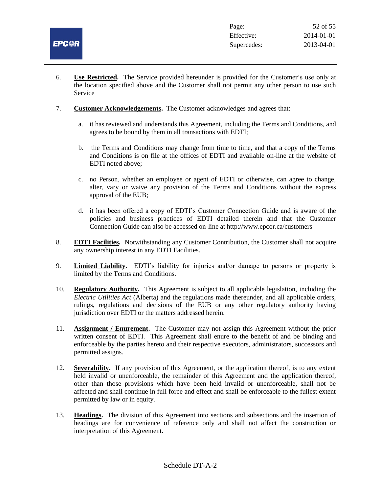

- 6. **Use Restricted.** The Service provided hereunder is provided for the Customer's use only at the location specified above and the Customer shall not permit any other person to use such Service
- 7. **Customer Acknowledgements.** The Customer acknowledges and agrees that:
	- a. it has reviewed and understands this Agreement, including the Terms and Conditions, and agrees to be bound by them in all transactions with EDTI;
	- b. the Terms and Conditions may change from time to time, and that a copy of the Terms and Conditions is on file at the offices of EDTI and available on-line at the website of EDTI noted above;
	- c. no Person, whether an employee or agent of EDTI or otherwise, can agree to change, alter, vary or waive any provision of the Terms and Conditions without the express approval of the EUB;
	- d. it has been offered a copy of EDTI's Customer Connection Guide and is aware of the policies and business practices of EDTI detailed therein and that the Customer Connection Guide can also be accessed on-line at http://www.epcor.ca/customers
- 8. **EDTI Facilities.** Notwithstanding any Customer Contribution, the Customer shall not acquire any ownership interest in any EDTI Facilities.
- 9. **Limited Liability.** EDTI's liability for injuries and/or damage to persons or property is limited by the Terms and Conditions.
- 10. **Regulatory Authority.** This Agreement is subject to all applicable legislation, including the *Electric Utilities Act* (Alberta) and the regulations made thereunder, and all applicable orders, rulings, regulations and decisions of the EUB or any other regulatory authority having jurisdiction over EDTI or the matters addressed herein.
- 11. **Assignment / Enurement.** The Customer may not assign this Agreement without the prior written consent of EDTI. This Agreement shall enure to the benefit of and be binding and enforceable by the parties hereto and their respective executors, administrators, successors and permitted assigns.
- 12. **Severability.** If any provision of this Agreement, or the application thereof, is to any extent held invalid or unenforceable, the remainder of this Agreement and the application thereof, other than those provisions which have been held invalid or unenforceable, shall not be affected and shall continue in full force and effect and shall be enforceable to the fullest extent permitted by law or in equity.
- 13. **Headings.** The division of this Agreement into sections and subsections and the insertion of headings are for convenience of reference only and shall not affect the construction or interpretation of this Agreement.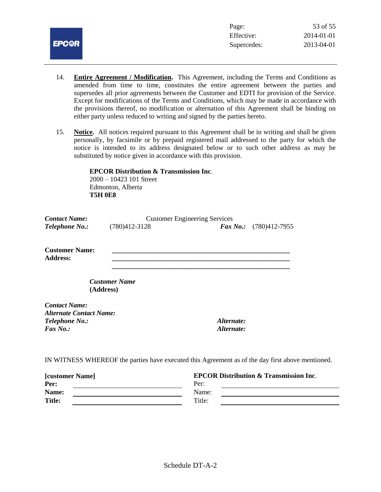

- 14. **Entire Agreement / Modification.** This Agreement, including the Terms and Conditions as amended from time to time, constitutes the entire agreement between the parties and supersedes all prior agreements between the Customer and EDTI for provision of the Service. Except for modifications of the Terms and Conditions, which may be made in accordance with the provisions thereof, no modification or alternation of this Agreement shall be binding on either party unless reduced to writing and signed by the parties hereto.
- 15. **Notice.** All notices required pursuant to this Agreement shall be in writing and shall be given personally, by facsimile or by prepaid registered mail addressed to the party for which the notice is intended to its address designated below or to such other address as may be substituted by notice given in accordance with this provision.

## **EPCOR Distribution & Transmission Inc**.

2000 – 10423 101 Street Edmonton, Alberta **T5H 0E8**

| <b>Customer Engineering Services</b><br><b>Contact Name:</b> |                      |                                  |                                                                                                  |
|--------------------------------------------------------------|----------------------|----------------------------------|--------------------------------------------------------------------------------------------------|
| Telephone No.:                                               | $(780)412 - 3128$    | $\boldsymbol{\mathit{Fax}}$ No.: | $(780)412-7955$                                                                                  |
| <b>Customer Name:</b><br><b>Address:</b>                     |                      |                                  |                                                                                                  |
| (Address)                                                    | <b>Customer Name</b> |                                  |                                                                                                  |
| <b>Contact Name:</b>                                         |                      |                                  |                                                                                                  |
| <b>Alternate Contact Name:</b>                               |                      |                                  |                                                                                                  |
| <i>Telephone No.:</i>                                        |                      | Alternate:                       |                                                                                                  |
| $\boldsymbol{Fax\ No.}:$                                     |                      | Alternate:                       |                                                                                                  |
|                                                              |                      |                                  | IN WITNESS WHEREOF the parties have executed this Agreement as of the day first above mentioned. |

| <b>[customer Name]</b> | <b>EPCOR Distribution &amp; Transmission Inc.</b> |  |
|------------------------|---------------------------------------------------|--|
| Per:                   | Per:                                              |  |
| Name:                  | Name:                                             |  |
| <b>Title:</b>          | Title:                                            |  |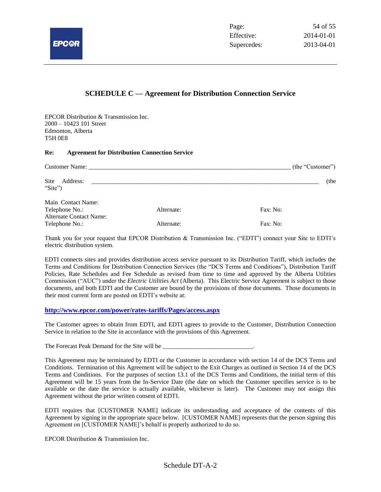

#### **SCHEDULE C — Agreement for Distribution Connection Service**

EPCOR Distribution & Transmission Inc. 2000 – 10423 101 Street Edmonton, Alberta T5H 0E8

#### **Re: Agreement for Distribution Connection Service**

| <b>Customer Name:</b> The contract of the contract of the contract of the contract of the contract of the contract of the contract of the contract of the contract of the contract of the contract of the contract of the contract |            | (the "Customer") |
|------------------------------------------------------------------------------------------------------------------------------------------------------------------------------------------------------------------------------------|------------|------------------|
| Site<br>Address:<br>"Site")                                                                                                                                                                                                        |            | (the             |
| Main Contact Name:<br>Telephone No.:<br><b>Alternate Contact Name:</b>                                                                                                                                                             | Alternate: | Fax: No:         |
| Telephone No.:                                                                                                                                                                                                                     | Alternate: | Fax: No:         |

Thank you for your request that EPCOR Distribution & Transmission Inc. ("EDTI") connect your Site to EDTI's electric distribution system.

EDTI connects sites and provides distribution access service pursuant to its Distribution Tariff, which includes the Terms and Conditions for Distribution Connection Services (the "DCS Terms and Conditions"), Distribution Tariff Policies, Rate Schedules and Fee Schedule as revised from time to time and approved by the Alberta Utilities Commission ("AUC") under the *Electric Utilities Act* (Alberta). This Electric Service Agreement is subject to those documents, and both EDTI and the Customer are bound by the provisions of those documents. Those documents in their most current form are posted on EDTI's website at:

#### **<http://www.epcor.com/power/rates-tariffs/Pages/access.aspx>**

The Customer agrees to obtain from EDTI, and EDTI agrees to provide to the Customer, Distribution Connection Service in relation to the Site in accordance with the provisions of this Agreement.

The Forecast Peak Demand for the Site will be

This Agreement may be terminated by EDTI or the Customer in accordance with section 14 of the DCS Terms and Conditions. Termination of this Agreement will be subject to the Exit Charges as outlined in Section 14 of the DCS Terms and Conditions. For the purposes of section 13.1 of the DCS Terms and Conditions, the initial term of this Agreement will be 15 years from the In-Service Date (the date on which the Customer specifies service is to be available or the date the service is actually available, whichever is later). The Customer may not assign this Agreement without the prior written consent of EDTI.

EDTI requires that [CUSTOMER NAME] indicate its understanding and acceptance of the contents of this Agreement by signing in the appropriate space below. [CUSTOMER NAME] represents that the person signing this Agreement on [CUSTOMER NAME]'s behalf is properly authorized to do so.

EPCOR Distribution & Transmission Inc.